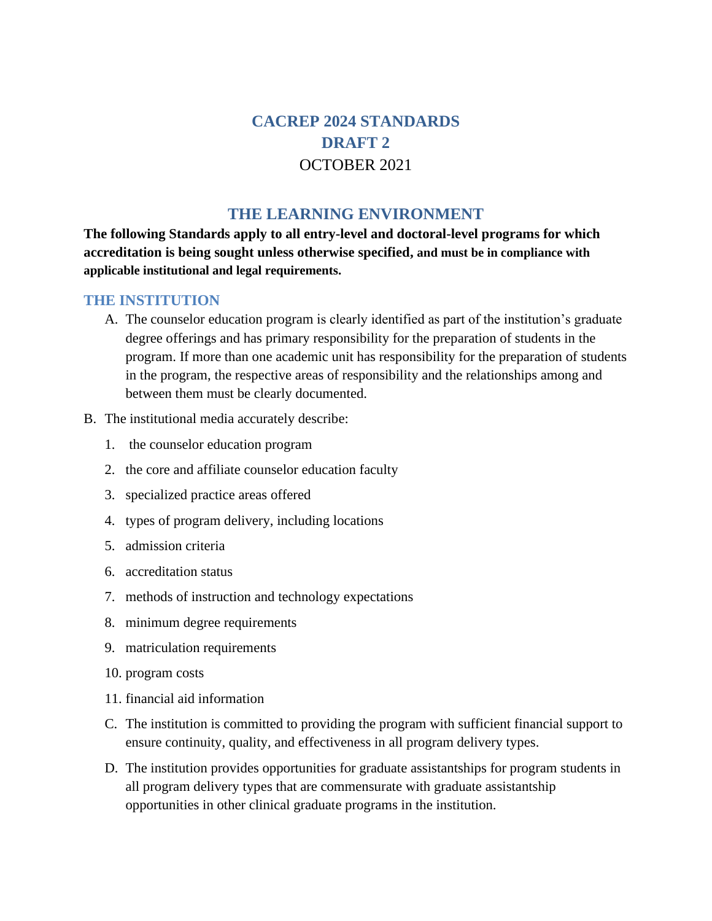# **CACREP 2024 STANDARDS DRAFT 2** OCTOBER 2021

### **THE LEARNING ENVIRONMENT**

**The following Standards apply to all entry-level and doctoral-level programs for which accreditation is being sought unless otherwise specified, and must be in compliance with applicable institutional and legal requirements.**

#### **THE INSTITUTION**

- A. The counselor education program is clearly identified as part of the institution's graduate degree offerings and has primary responsibility for the preparation of students in the program. If more than one academic unit has responsibility for the preparation of students in the program, the respective areas of responsibility and the relationships among and between them must be clearly documented.
- B. The institutional media accurately describe:
	- 1. the counselor education program
	- 2. the core and affiliate counselor education faculty
	- 3. specialized practice areas offered
	- 4. types of program delivery, including locations
	- 5. admission criteria
	- 6. accreditation status
	- 7. methods of instruction and technology expectations
	- 8. minimum degree requirements
	- 9. matriculation requirements
	- 10. program costs
	- 11. financial aid information
	- C. The institution is committed to providing the program with sufficient financial support to ensure continuity, quality, and effectiveness in all program delivery types.
	- D. The institution provides opportunities for graduate assistantships for program students in all program delivery types that are commensurate with graduate assistantship opportunities in other clinical graduate programs in the institution.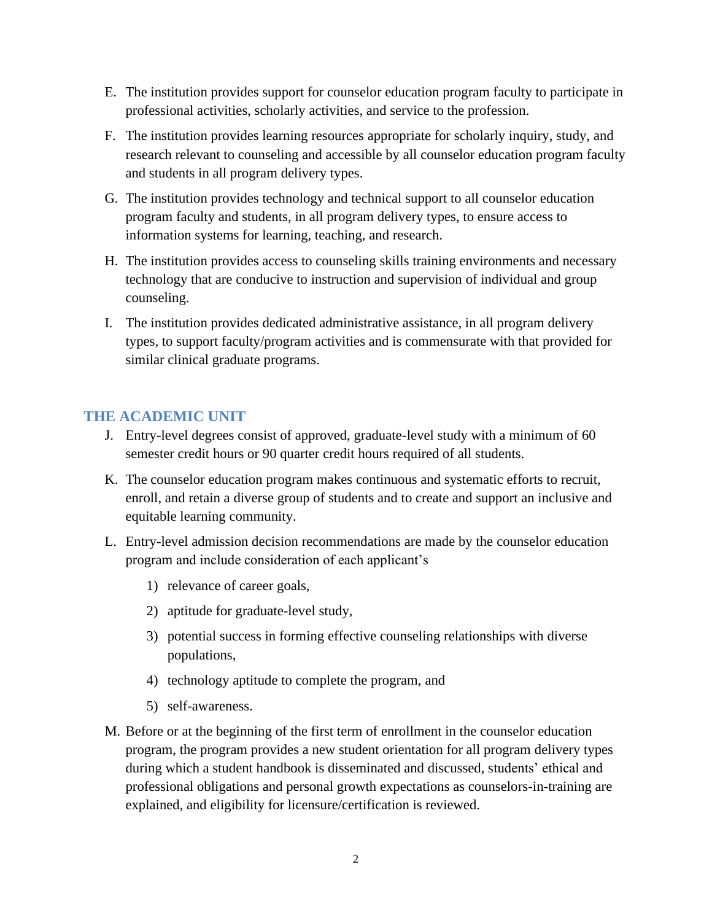- E. The institution provides support for counselor education program faculty to participate in professional activities, scholarly activities, and service to the profession.
- F. The institution provides learning resources appropriate for scholarly inquiry, study, and research relevant to counseling and accessible by all counselor education program faculty and students in all program delivery types.
- G. The institution provides technology and technical support to all counselor education program faculty and students, in all program delivery types, to ensure access to information systems for learning, teaching, and research.
- H. The institution provides access to counseling skills training environments and necessary technology that are conducive to instruction and supervision of individual and group counseling.
- I. The institution provides dedicated administrative assistance, in all program delivery types, to support faculty/program activities and is commensurate with that provided for similar clinical graduate programs.

# **THE ACADEMIC UNIT**

- J. Entry-level degrees consist of approved, graduate-level study with a minimum of 60 semester credit hours or 90 quarter credit hours required of all students.
- K. The counselor education program makes continuous and systematic efforts to recruit, enroll, and retain a diverse group of students and to create and support an inclusive and equitable learning community.
- L. Entry-level admission decision recommendations are made by the counselor education program and include consideration of each applicant's
	- 1) relevance of career goals,
	- 2) aptitude for graduate-level study,
	- 3) potential success in forming effective counseling relationships with diverse populations,
	- 4) technology aptitude to complete the program, and
	- 5) self-awareness.
- M. Before or at the beginning of the first term of enrollment in the counselor education program, the program provides a new student orientation for all program delivery types during which a student handbook is disseminated and discussed, students' ethical and professional obligations and personal growth expectations as counselors-in-training are explained, and eligibility for licensure/certification is reviewed.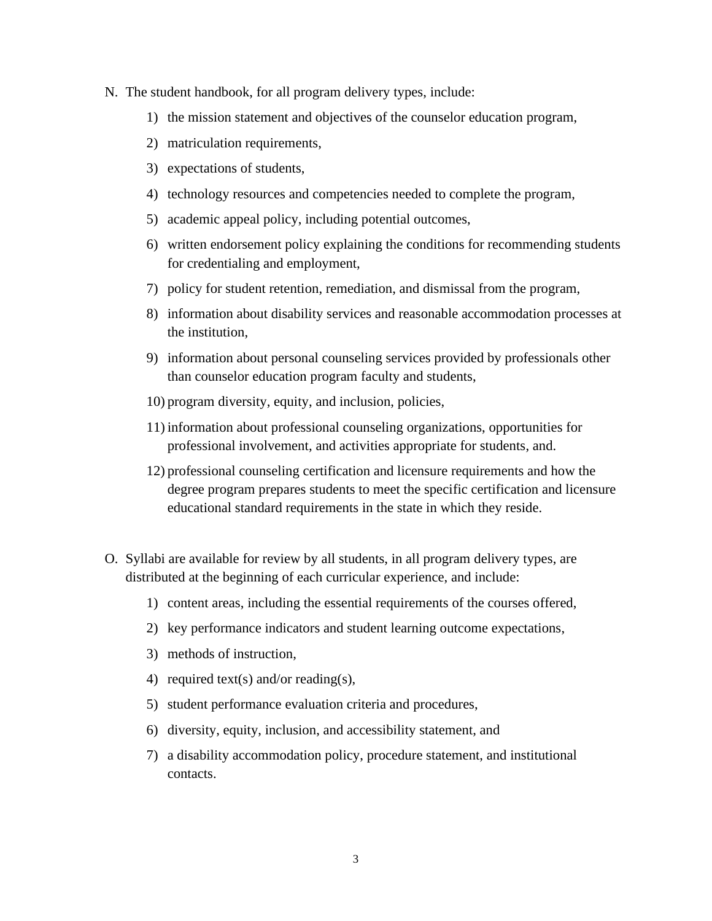- N. The student handbook, for all program delivery types, include:
	- 1) the mission statement and objectives of the counselor education program,
	- 2) matriculation requirements,
	- 3) expectations of students,
	- 4) technology resources and competencies needed to complete the program,
	- 5) academic appeal policy, including potential outcomes,
	- 6) written endorsement policy explaining the conditions for recommending students for credentialing and employment,
	- 7) policy for student retention, remediation, and dismissal from the program,
	- 8) information about disability services and reasonable accommodation processes at the institution,
	- 9) information about personal counseling services provided by professionals other than counselor education program faculty and students,
	- 10) program diversity, equity, and inclusion, policies,
	- 11) information about professional counseling organizations, opportunities for professional involvement, and activities appropriate for students, and.
	- 12) professional counseling certification and licensure requirements and how the degree program prepares students to meet the specific certification and licensure educational standard requirements in the state in which they reside.
- O. Syllabi are available for review by all students, in all program delivery types, are distributed at the beginning of each curricular experience, and include:
	- 1) content areas, including the essential requirements of the courses offered,
	- 2) key performance indicators and student learning outcome expectations,
	- 3) methods of instruction,
	- 4) required text(s) and/or reading(s),
	- 5) student performance evaluation criteria and procedures,
	- 6) diversity, equity, inclusion, and accessibility statement, and
	- 7) a disability accommodation policy, procedure statement, and institutional contacts.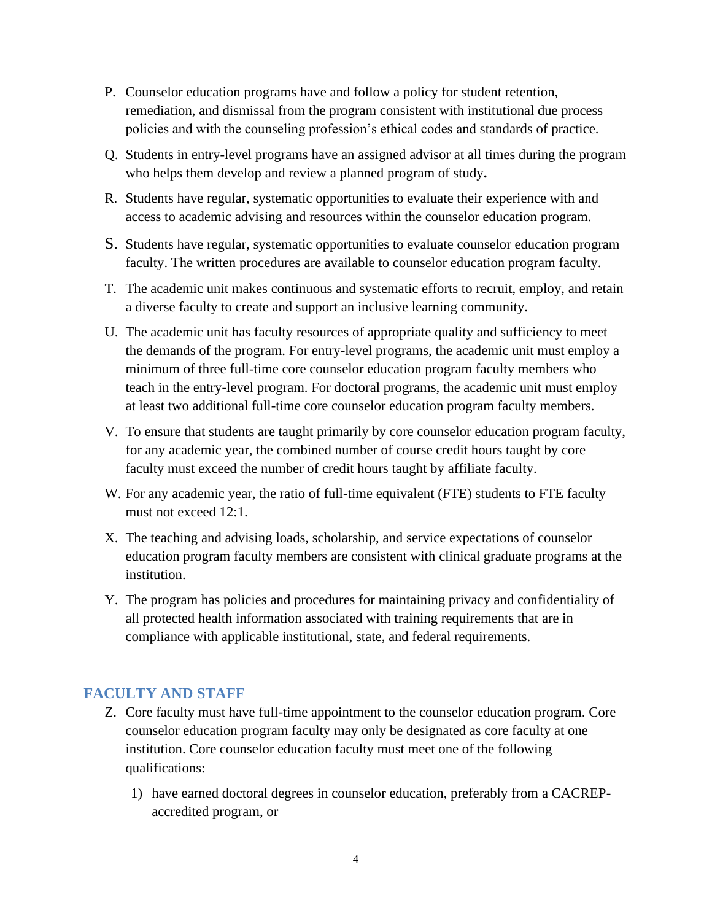- P. Counselor education programs have and follow a policy for student retention, remediation, and dismissal from the program consistent with institutional due process policies and with the counseling profession's ethical codes and standards of practice.
- Q. Students in entry-level programs have an assigned advisor at all times during the program who helps them develop and review a planned program of study**.**
- R. Students have regular, systematic opportunities to evaluate their experience with and access to academic advising and resources within the counselor education program.
- S. Students have regular, systematic opportunities to evaluate counselor education program faculty. The written procedures are available to counselor education program faculty.
- T. The academic unit makes continuous and systematic efforts to recruit, employ, and retain a diverse faculty to create and support an inclusive learning community.
- U. The academic unit has faculty resources of appropriate quality and sufficiency to meet the demands of the program. For entry-level programs, the academic unit must employ a minimum of three full-time core counselor education program faculty members who teach in the entry-level program. For doctoral programs, the academic unit must employ at least two additional full-time core counselor education program faculty members.
- V. To ensure that students are taught primarily by core counselor education program faculty, for any academic year, the combined number of course credit hours taught by core faculty must exceed the number of credit hours taught by affiliate faculty.
- W. For any academic year, the ratio of full-time equivalent (FTE) students to FTE faculty must not exceed 12:1.
- X. The teaching and advising loads, scholarship, and service expectations of counselor education program faculty members are consistent with clinical graduate programs at the institution.
- Y. The program has policies and procedures for maintaining privacy and confidentiality of all protected health information associated with training requirements that are in compliance with applicable institutional, state, and federal requirements.

# **FACULTY AND STAFF**

- Z. Core faculty must have full-time appointment to the counselor education program. Core counselor education program faculty may only be designated as core faculty at one institution. Core counselor education faculty must meet one of the following qualifications:
	- 1) have earned doctoral degrees in counselor education, preferably from a CACREPaccredited program, or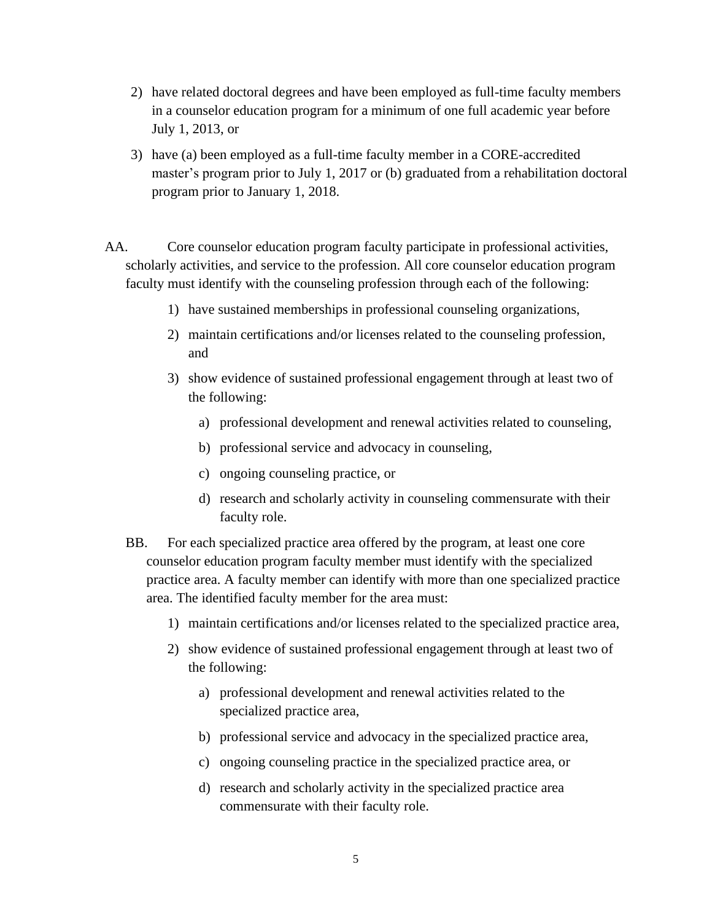- 2) have related doctoral degrees and have been employed as full-time faculty members in a counselor education program for a minimum of one full academic year before July 1, 2013, or
- 3) have (a) been employed as a full-time faculty member in a CORE-accredited master's program prior to July 1, 2017 or (b) graduated from a rehabilitation doctoral program prior to January 1, 2018.
- AA. Core counselor education program faculty participate in professional activities, scholarly activities, and service to the profession. All core counselor education program faculty must identify with the counseling profession through each of the following:
	- 1) have sustained memberships in professional counseling organizations,
	- 2) maintain certifications and/or licenses related to the counseling profession, and
	- 3) show evidence of sustained professional engagement through at least two of the following:
		- a) professional development and renewal activities related to counseling,
		- b) professional service and advocacy in counseling,
		- c) ongoing counseling practice, or
		- d) research and scholarly activity in counseling commensurate with their faculty role.
	- BB. For each specialized practice area offered by the program, at least one core counselor education program faculty member must identify with the specialized practice area. A faculty member can identify with more than one specialized practice area. The identified faculty member for the area must:
		- 1) maintain certifications and/or licenses related to the specialized practice area,
		- 2) show evidence of sustained professional engagement through at least two of the following:
			- a) professional development and renewal activities related to the specialized practice area,
			- b) professional service and advocacy in the specialized practice area,
			- c) ongoing counseling practice in the specialized practice area, or
			- d) research and scholarly activity in the specialized practice area commensurate with their faculty role.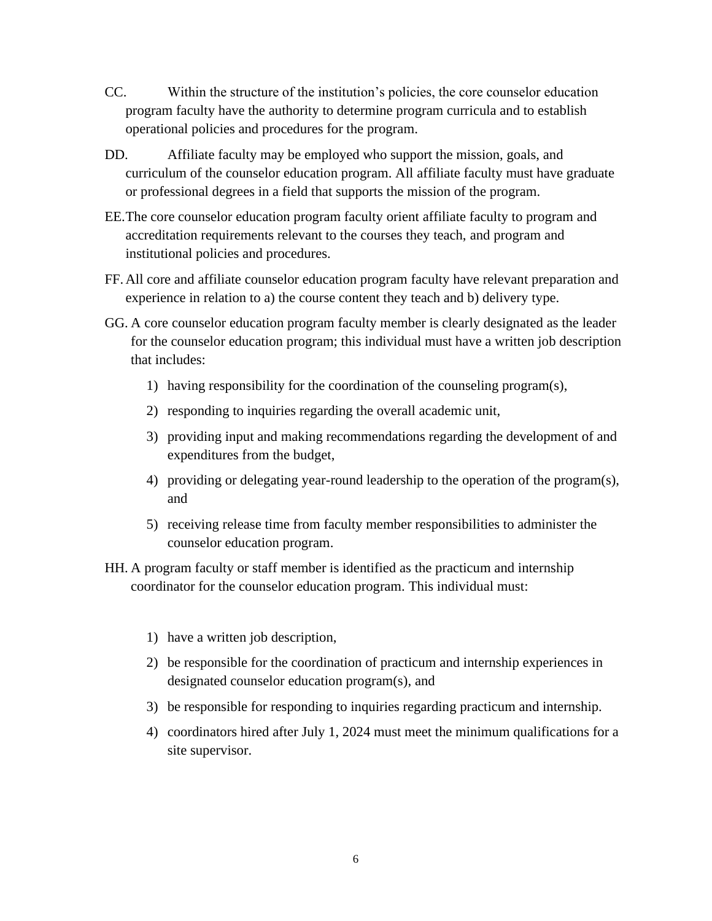- CC. Within the structure of the institution's policies, the core counselor education program faculty have the authority to determine program curricula and to establish operational policies and procedures for the program.
- DD. Affiliate faculty may be employed who support the mission, goals, and curriculum of the counselor education program. All affiliate faculty must have graduate or professional degrees in a field that supports the mission of the program.
- EE.The core counselor education program faculty orient affiliate faculty to program and accreditation requirements relevant to the courses they teach, and program and institutional policies and procedures.
- FF. All core and affiliate counselor education program faculty have relevant preparation and experience in relation to a) the course content they teach and b) delivery type.
- GG. A core counselor education program faculty member is clearly designated as the leader for the counselor education program; this individual must have a written job description that includes:
	- 1) having responsibility for the coordination of the counseling program(s),
	- 2) responding to inquiries regarding the overall academic unit,
	- 3) providing input and making recommendations regarding the development of and expenditures from the budget,
	- 4) providing or delegating year-round leadership to the operation of the program(s), and
	- 5) receiving release time from faculty member responsibilities to administer the counselor education program.
- HH. A program faculty or staff member is identified as the practicum and internship coordinator for the counselor education program. This individual must:
	- 1) have a written job description,
	- 2) be responsible for the coordination of practicum and internship experiences in designated counselor education program(s), and
	- 3) be responsible for responding to inquiries regarding practicum and internship.
	- 4) coordinators hired after July 1, 2024 must meet the minimum qualifications for a site supervisor.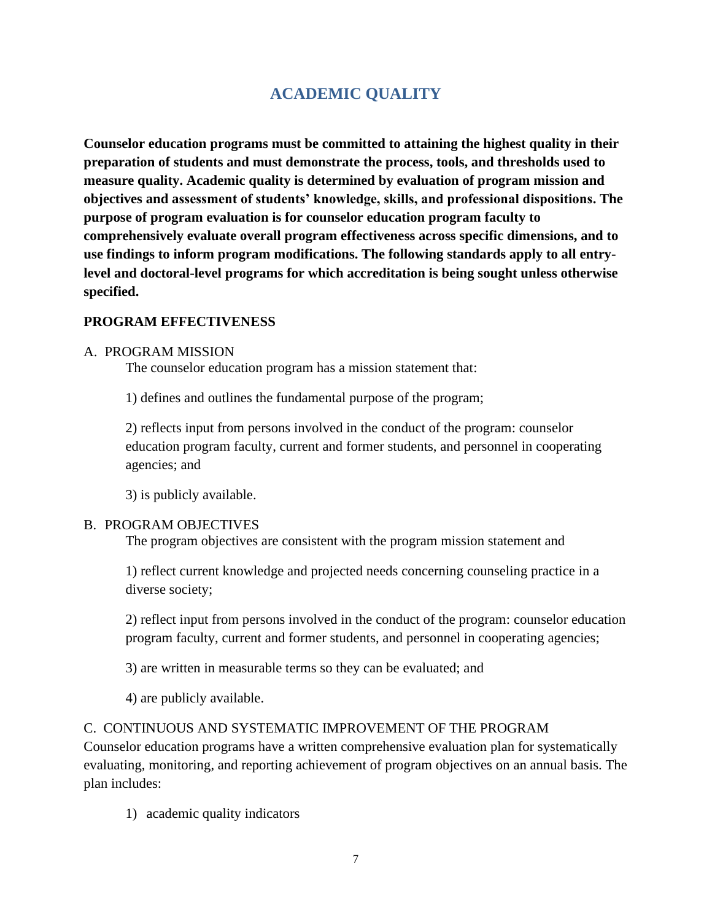# **ACADEMIC QUALITY**

**Counselor education programs must be committed to attaining the highest quality in their preparation of students and must demonstrate the process, tools, and thresholds used to measure quality. Academic quality is determined by evaluation of program mission and objectives and assessment of students' knowledge, skills, and professional dispositions. The purpose of program evaluation is for counselor education program faculty to comprehensively evaluate overall program effectiveness across specific dimensions, and to use findings to inform program modifications. The following standards apply to all entrylevel and doctoral-level programs for which accreditation is being sought unless otherwise specified.**

#### **PROGRAM EFFECTIVENESS**

#### A. PROGRAM MISSION

The counselor education program has a mission statement that:

1) defines and outlines the fundamental purpose of the program;

2) reflects input from persons involved in the conduct of the program: counselor education program faculty, current and former students, and personnel in cooperating agencies; and

3) is publicly available.

#### B. PROGRAM OBJECTIVES

The program objectives are consistent with the program mission statement and

1) reflect current knowledge and projected needs concerning counseling practice in a diverse society;

2) reflect input from persons involved in the conduct of the program: counselor education program faculty, current and former students, and personnel in cooperating agencies;

3) are written in measurable terms so they can be evaluated; and

4) are publicly available.

#### C. CONTINUOUS AND SYSTEMATIC IMPROVEMENT OF THE PROGRAM

Counselor education programs have a written comprehensive evaluation plan for systematically evaluating, monitoring, and reporting achievement of program objectives on an annual basis. The plan includes:

1) academic quality indicators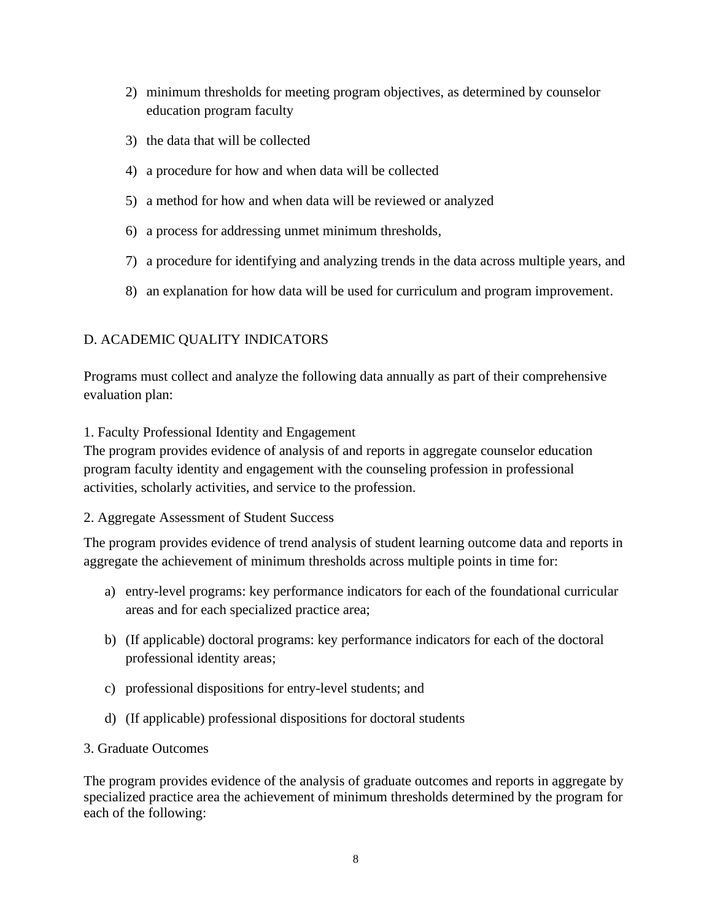- 2) minimum thresholds for meeting program objectives, as determined by counselor education program faculty
- 3) the data that will be collected
- 4) a procedure for how and when data will be collected
- 5) a method for how and when data will be reviewed or analyzed
- 6) a process for addressing unmet minimum thresholds,
- 7) a procedure for identifying and analyzing trends in the data across multiple years, and
- 8) an explanation for how data will be used for curriculum and program improvement.

# D. ACADEMIC QUALITY INDICATORS

Programs must collect and analyze the following data annually as part of their comprehensive evaluation plan:

### 1. Faculty Professional Identity and Engagement

The program provides evidence of analysis of and reports in aggregate counselor education program faculty identity and engagement with the counseling profession in professional activities, scholarly activities, and service to the profession.

### 2. Aggregate Assessment of Student Success

The program provides evidence of trend analysis of student learning outcome data and reports in aggregate the achievement of minimum thresholds across multiple points in time for:

- a) entry-level programs: key performance indicators for each of the foundational curricular areas and for each specialized practice area;
- b) (If applicable) doctoral programs: key performance indicators for each of the doctoral professional identity areas;
- c) professional dispositions for entry-level students; and
- d) (If applicable) professional dispositions for doctoral students

### 3. Graduate Outcomes

The program provides evidence of the analysis of graduate outcomes and reports in aggregate by specialized practice area the achievement of minimum thresholds determined by the program for each of the following: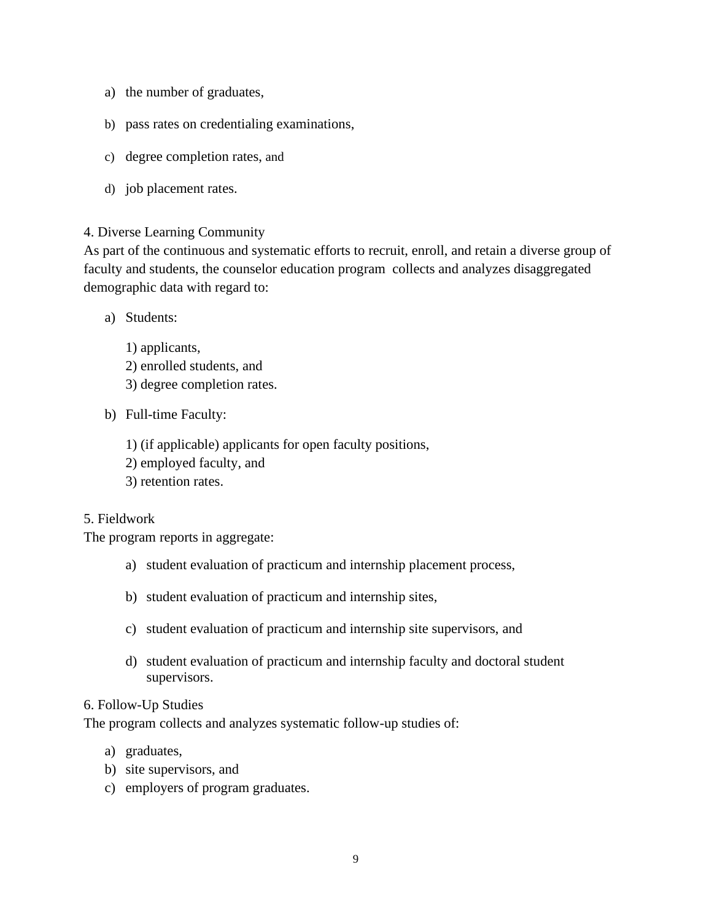- a) the number of graduates,
- b) pass rates on credentialing examinations,
- c) degree completion rates, and
- d) job placement rates.

#### 4. Diverse Learning Community

As part of the continuous and systematic efforts to recruit, enroll, and retain a diverse group of faculty and students, the counselor education program collects and analyzes disaggregated demographic data with regard to:

- a) Students:
	- 1) applicants,
	- 2) enrolled students, and
	- 3) degree completion rates.
- b) Full-time Faculty:
	- 1) (if applicable) applicants for open faculty positions,
	- 2) employed faculty, and
	- 3) retention rates.

#### 5. Fieldwork

The program reports in aggregate:

- a) student evaluation of practicum and internship placement process,
- b) student evaluation of practicum and internship sites,
- c) student evaluation of practicum and internship site supervisors, and
- d) student evaluation of practicum and internship faculty and doctoral student supervisors.

#### 6. Follow-Up Studies

The program collects and analyzes systematic follow-up studies of:

- a) graduates,
- b) site supervisors, and
- c) employers of program graduates.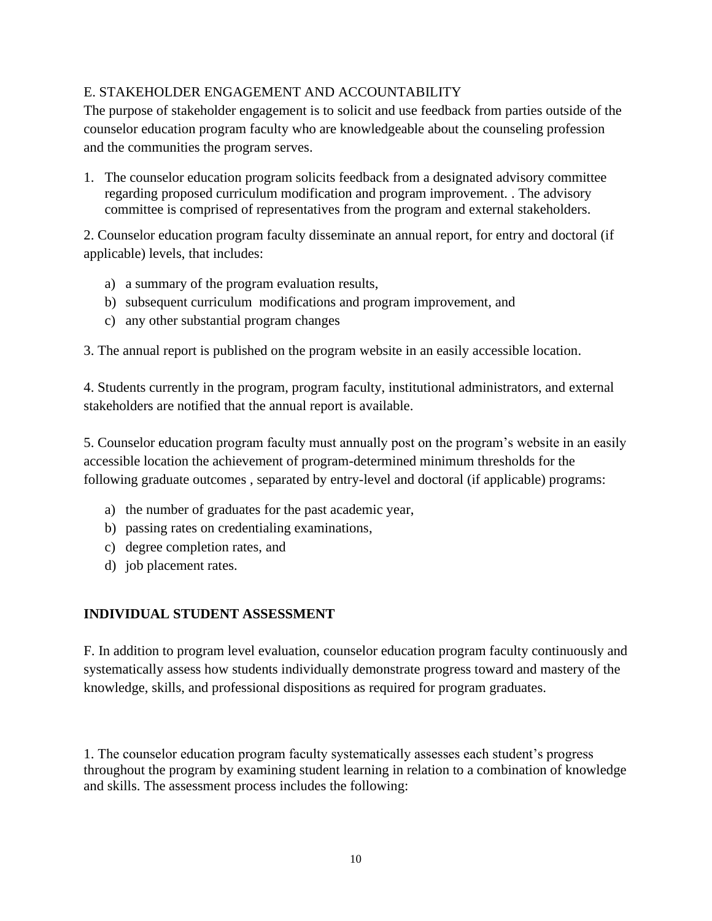### E. STAKEHOLDER ENGAGEMENT AND ACCOUNTABILITY

The purpose of stakeholder engagement is to solicit and use feedback from parties outside of the counselor education program faculty who are knowledgeable about the counseling profession and the communities the program serves.

1. The counselor education program solicits feedback from a designated advisory committee regarding proposed curriculum modification and program improvement. . The advisory committee is comprised of representatives from the program and external stakeholders.

2. Counselor education program faculty disseminate an annual report, for entry and doctoral (if applicable) levels, that includes:

- a) a summary of the program evaluation results,
- b) subsequent curriculum modifications and program improvement, and
- c) any other substantial program changes

3. The annual report is published on the program website in an easily accessible location.

4. Students currently in the program, program faculty, institutional administrators, and external stakeholders are notified that the annual report is available.

5. Counselor education program faculty must annually post on the program's website in an easily accessible location the achievement of program-determined minimum thresholds for the following graduate outcomes , separated by entry-level and doctoral (if applicable) programs:

- a) the number of graduates for the past academic year,
- b) passing rates on credentialing examinations,
- c) degree completion rates, and
- d) job placement rates.

# **INDIVIDUAL STUDENT ASSESSMENT**

F. In addition to program level evaluation, counselor education program faculty continuously and systematically assess how students individually demonstrate progress toward and mastery of the knowledge, skills, and professional dispositions as required for program graduates.

1. The counselor education program faculty systematically assesses each student's progress throughout the program by examining student learning in relation to a combination of knowledge and skills. The assessment process includes the following: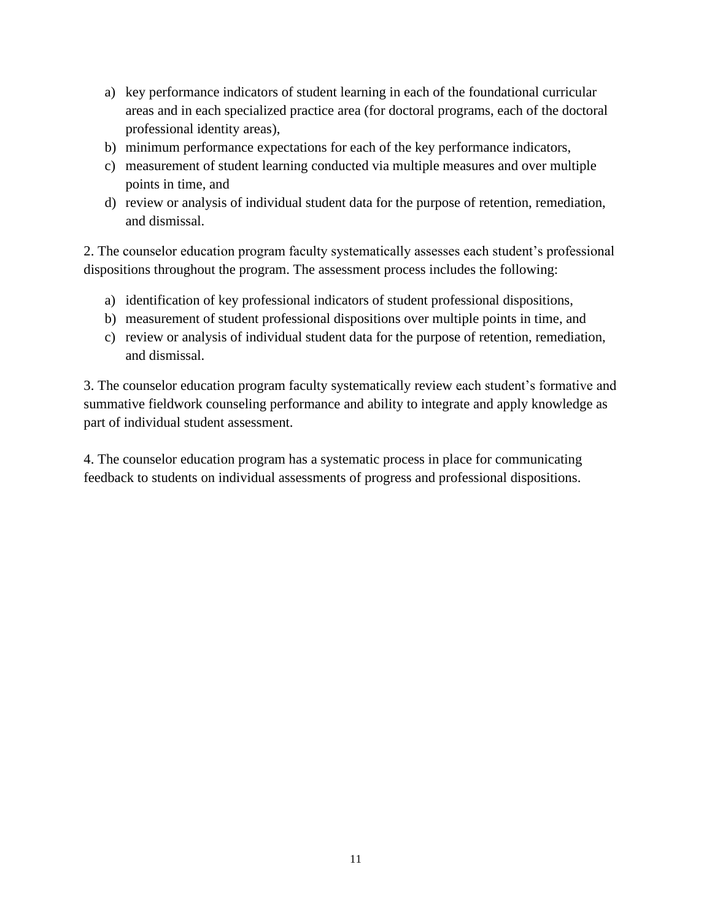- a) key performance indicators of student learning in each of the foundational curricular areas and in each specialized practice area (for doctoral programs, each of the doctoral professional identity areas),
- b) minimum performance expectations for each of the key performance indicators,
- c) measurement of student learning conducted via multiple measures and over multiple points in time, and
- d) review or analysis of individual student data for the purpose of retention, remediation, and dismissal.

2. The counselor education program faculty systematically assesses each student's professional dispositions throughout the program. The assessment process includes the following:

- a) identification of key professional indicators of student professional dispositions,
- b) measurement of student professional dispositions over multiple points in time, and
- c) review or analysis of individual student data for the purpose of retention, remediation, and dismissal.

3. The counselor education program faculty systematically review each student's formative and summative fieldwork counseling performance and ability to integrate and apply knowledge as part of individual student assessment.

4. The counselor education program has a systematic process in place for communicating feedback to students on individual assessments of progress and professional dispositions.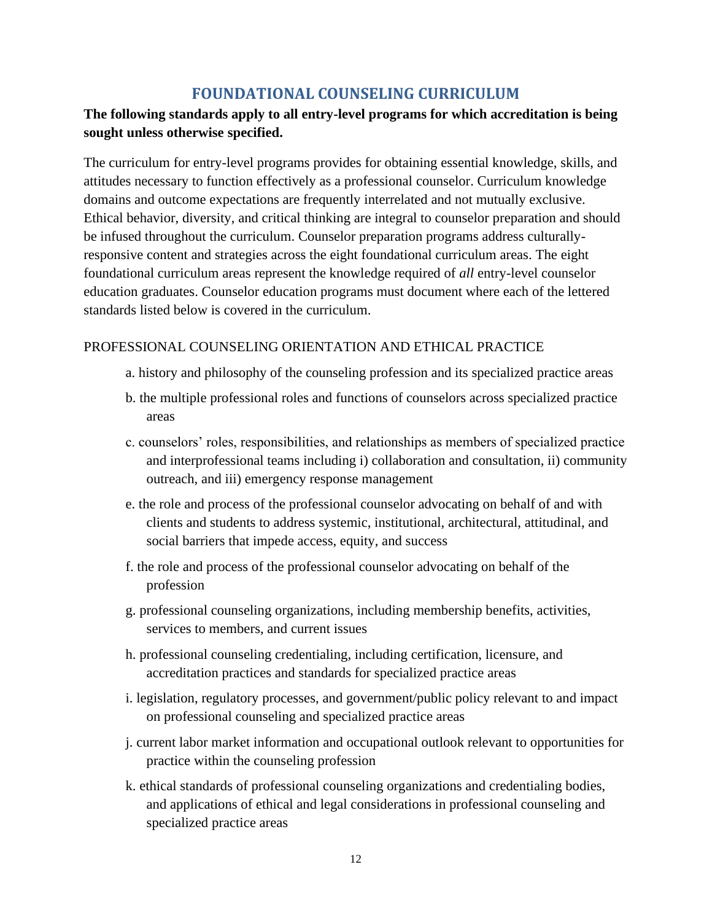# **FOUNDATIONAL COUNSELING CURRICULUM**

# **The following standards apply to all entry-level programs for which accreditation is being sought unless otherwise specified.**

The curriculum for entry-level programs provides for obtaining essential knowledge, skills, and attitudes necessary to function effectively as a professional counselor. Curriculum knowledge domains and outcome expectations are frequently interrelated and not mutually exclusive. Ethical behavior, diversity, and critical thinking are integral to counselor preparation and should be infused throughout the curriculum. Counselor preparation programs address culturallyresponsive content and strategies across the eight foundational curriculum areas. The eight foundational curriculum areas represent the knowledge required of *all* entry-level counselor education graduates. Counselor education programs must document where each of the lettered standards listed below is covered in the curriculum.

### PROFESSIONAL COUNSELING ORIENTATION AND ETHICAL PRACTICE

- a. history and philosophy of the counseling profession and its specialized practice areas
- b. the multiple professional roles and functions of counselors across specialized practice areas
- c. counselors' roles, responsibilities, and relationships as members of specialized practice and interprofessional teams including i) collaboration and consultation, ii) community outreach, and iii) emergency response management
- e. the role and process of the professional counselor advocating on behalf of and with clients and students to address systemic, institutional, architectural, attitudinal, and social barriers that impede access, equity, and success
- f. the role and process of the professional counselor advocating on behalf of the profession
- g. professional counseling organizations, including membership benefits, activities, services to members, and current issues
- h. professional counseling credentialing, including certification, licensure, and accreditation practices and standards for specialized practice areas
- i. legislation, regulatory processes, and government/public policy relevant to and impact on professional counseling and specialized practice areas
- j. current labor market information and occupational outlook relevant to opportunities for practice within the counseling profession
- k. ethical standards of professional counseling organizations and credentialing bodies, and applications of ethical and legal considerations in professional counseling and specialized practice areas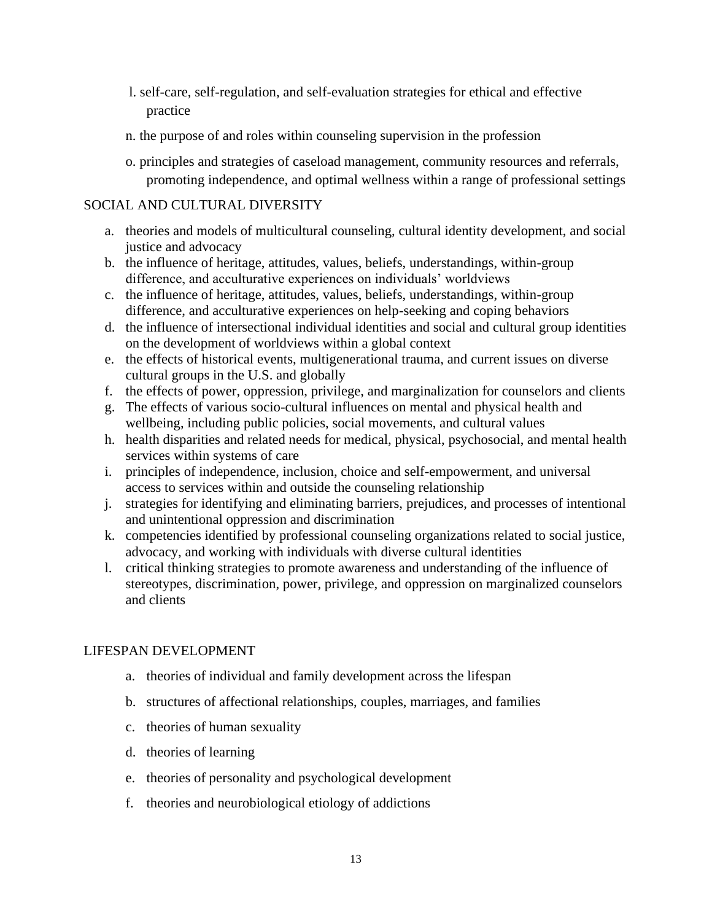- l. self-care, self-regulation, and self-evaluation strategies for ethical and effective practice
- n. the purpose of and roles within counseling supervision in the profession
- o. principles and strategies of caseload management, community resources and referrals, promoting independence, and optimal wellness within a range of professional settings

### SOCIAL AND CULTURAL DIVERSITY

- a. theories and models of multicultural counseling, cultural identity development, and social justice and advocacy
- b. the influence of heritage, attitudes, values, beliefs, understandings, within-group difference, and acculturative experiences on individuals' worldviews
- c. the influence of heritage, attitudes, values, beliefs, understandings, within-group difference, and acculturative experiences on help-seeking and coping behaviors
- d. the influence of intersectional individual identities and social and cultural group identities on the development of worldviews within a global context
- e. the effects of historical events, multigenerational trauma, and current issues on diverse cultural groups in the U.S. and globally
- f. the effects of power, oppression, privilege, and marginalization for counselors and clients
- g. The effects of various socio-cultural influences on mental and physical health and wellbeing, including public policies, social movements, and cultural values
- h. health disparities and related needs for medical, physical, psychosocial, and mental health services within systems of care
- i. principles of independence, inclusion, choice and self-empowerment, and universal access to services within and outside the counseling relationship
- j. strategies for identifying and eliminating barriers, prejudices, and processes of intentional and unintentional oppression and discrimination
- k. competencies identified by professional counseling organizations related to social justice, advocacy, and working with individuals with diverse cultural identities
- l. critical thinking strategies to promote awareness and understanding of the influence of stereotypes, discrimination, power, privilege, and oppression on marginalized counselors and clients

### LIFESPAN DEVELOPMENT

- a. theories of individual and family development across the lifespan
- b. structures of affectional relationships, couples, marriages, and families
- c. theories of human sexuality
- d. theories of learning
- e. theories of personality and psychological development
- f. theories and neurobiological etiology of addictions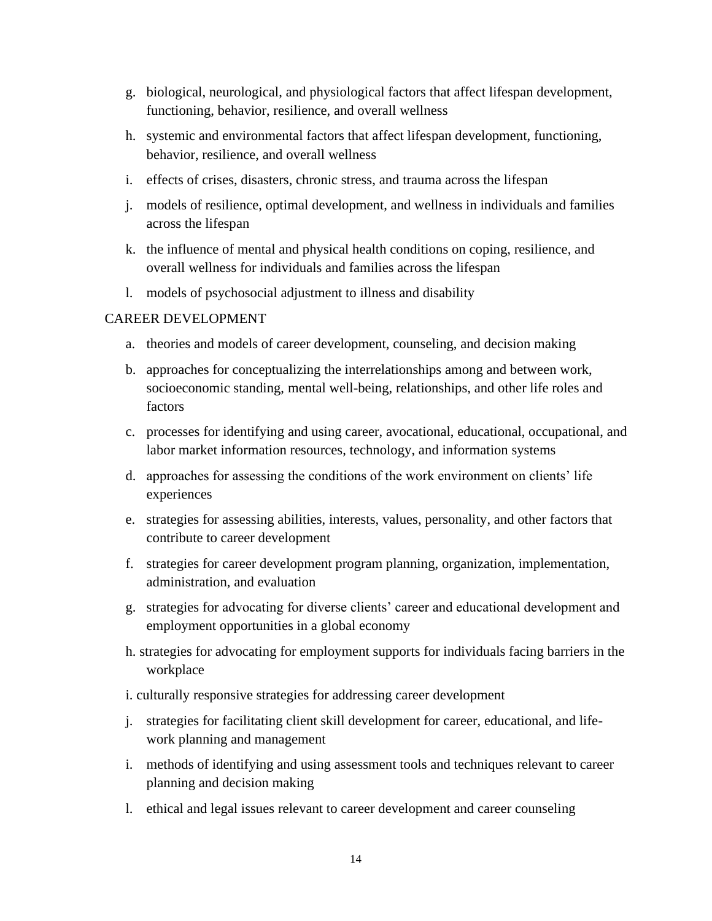- g. biological, neurological, and physiological factors that affect lifespan development, functioning, behavior, resilience, and overall wellness
- h. systemic and environmental factors that affect lifespan development, functioning, behavior, resilience, and overall wellness
- i. effects of crises, disasters, chronic stress, and trauma across the lifespan
- j. models of resilience, optimal development, and wellness in individuals and families across the lifespan
- k. the influence of mental and physical health conditions on coping, resilience, and overall wellness for individuals and families across the lifespan
- l. models of psychosocial adjustment to illness and disability

#### CAREER DEVELOPMENT

- a. theories and models of career development, counseling, and decision making
- b. approaches for conceptualizing the interrelationships among and between work, socioeconomic standing, mental well-being, relationships, and other life roles and factors
- c. processes for identifying and using career, avocational, educational, occupational, and labor market information resources, technology, and information systems
- d. approaches for assessing the conditions of the work environment on clients' life experiences
- e. strategies for assessing abilities, interests, values, personality, and other factors that contribute to career development
- f. strategies for career development program planning, organization, implementation, administration, and evaluation
- g. strategies for advocating for diverse clients' career and educational development and employment opportunities in a global economy
- h. strategies for advocating for employment supports for individuals facing barriers in the workplace
- i. culturally responsive strategies for addressing career development
- j. strategies for facilitating client skill development for career, educational, and lifework planning and management
- i. methods of identifying and using assessment tools and techniques relevant to career planning and decision making
- l. ethical and legal issues relevant to career development and career counseling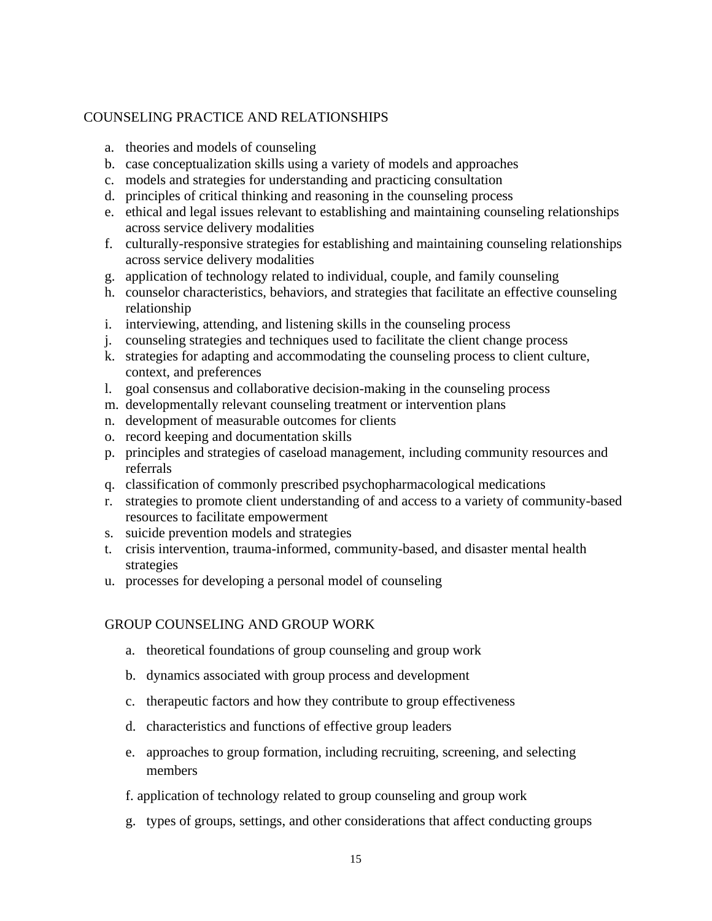#### COUNSELING PRACTICE AND RELATIONSHIPS

- a. theories and models of counseling
- b. case conceptualization skills using a variety of models and approaches
- c. models and strategies for understanding and practicing consultation
- d. principles of critical thinking and reasoning in the counseling process
- e. ethical and legal issues relevant to establishing and maintaining counseling relationships across service delivery modalities
- f. culturally-responsive strategies for establishing and maintaining counseling relationships across service delivery modalities
- g. application of technology related to individual, couple, and family counseling
- h. counselor characteristics, behaviors, and strategies that facilitate an effective counseling relationship
- i. interviewing, attending, and listening skills in the counseling process
- j. counseling strategies and techniques used to facilitate the client change process
- k. strategies for adapting and accommodating the counseling process to client culture, context, and preferences
- l. goal consensus and collaborative decision-making in the counseling process
- m. developmentally relevant counseling treatment or intervention plans
- n. development of measurable outcomes for clients
- o. record keeping and documentation skills
- p. principles and strategies of caseload management, including community resources and referrals
- q. classification of commonly prescribed psychopharmacological medications
- r. strategies to promote client understanding of and access to a variety of community-based resources to facilitate empowerment
- s. suicide prevention models and strategies
- t. crisis intervention, trauma-informed, community-based, and disaster mental health strategies
- u. processes for developing a personal model of counseling

#### GROUP COUNSELING AND GROUP WORK

- a. theoretical foundations of group counseling and group work
- b. dynamics associated with group process and development
- c. therapeutic factors and how they contribute to group effectiveness
- d. characteristics and functions of effective group leaders
- e. approaches to group formation, including recruiting, screening, and selecting members
- f. application of technology related to group counseling and group work
- g. types of groups, settings, and other considerations that affect conducting groups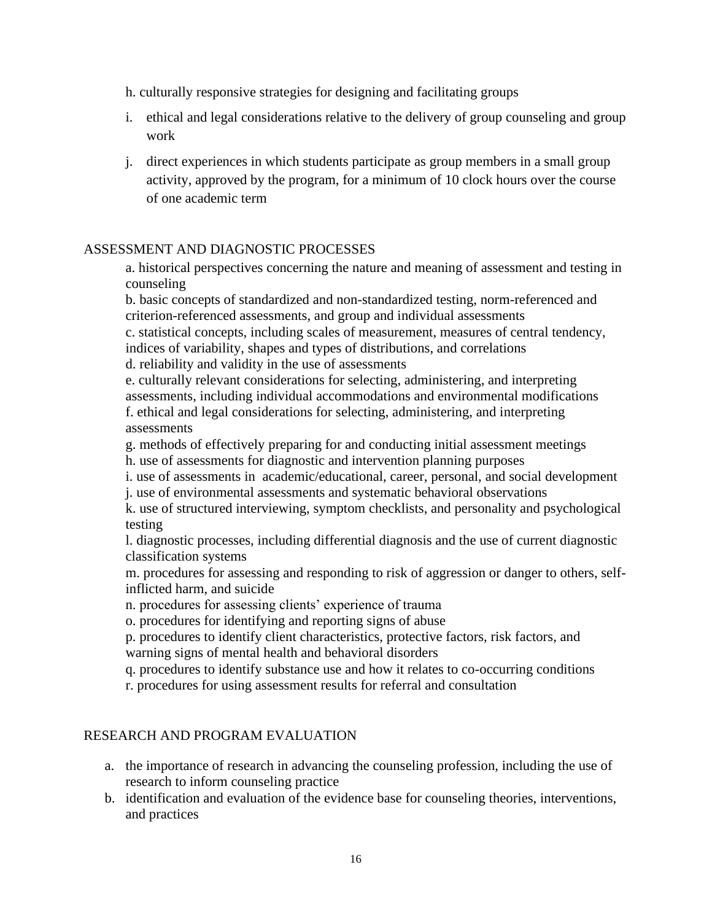h. culturally responsive strategies for designing and facilitating groups

- i. ethical and legal considerations relative to the delivery of group counseling and group work
- j. direct experiences in which students participate as group members in a small group activity, approved by the program, for a minimum of 10 clock hours over the course of one academic term

### ASSESSMENT AND DIAGNOSTIC PROCESSES

a. historical perspectives concerning the nature and meaning of assessment and testing in counseling

b. basic concepts of standardized and non-standardized testing, norm-referenced and criterion-referenced assessments, and group and individual assessments

c. statistical concepts, including scales of measurement, measures of central tendency, indices of variability, shapes and types of distributions, and correlations d. reliability and validity in the use of assessments

e. culturally relevant considerations for selecting, administering, and interpreting assessments, including individual accommodations and environmental modifications f. ethical and legal considerations for selecting, administering, and interpreting assessments

g. methods of effectively preparing for and conducting initial assessment meetings h. use of assessments for diagnostic and intervention planning purposes

i. use of assessments in academic/educational, career, personal, and social development

j. use of environmental assessments and systematic behavioral observations

k. use of structured interviewing, symptom checklists, and personality and psychological testing

l. diagnostic processes, including differential diagnosis and the use of current diagnostic classification systems

m. procedures for assessing and responding to risk of aggression or danger to others, selfinflicted harm, and suicide

n. procedures for assessing clients' experience of trauma

o. procedures for identifying and reporting signs of abuse

p. procedures to identify client characteristics, protective factors, risk factors, and warning signs of mental health and behavioral disorders

q. procedures to identify substance use and how it relates to co-occurring conditions

r. procedures for using assessment results for referral and consultation

### RESEARCH AND PROGRAM EVALUATION

- a. the importance of research in advancing the counseling profession, including the use of research to inform counseling practice
- b. identification and evaluation of the evidence base for counseling theories, interventions, and practices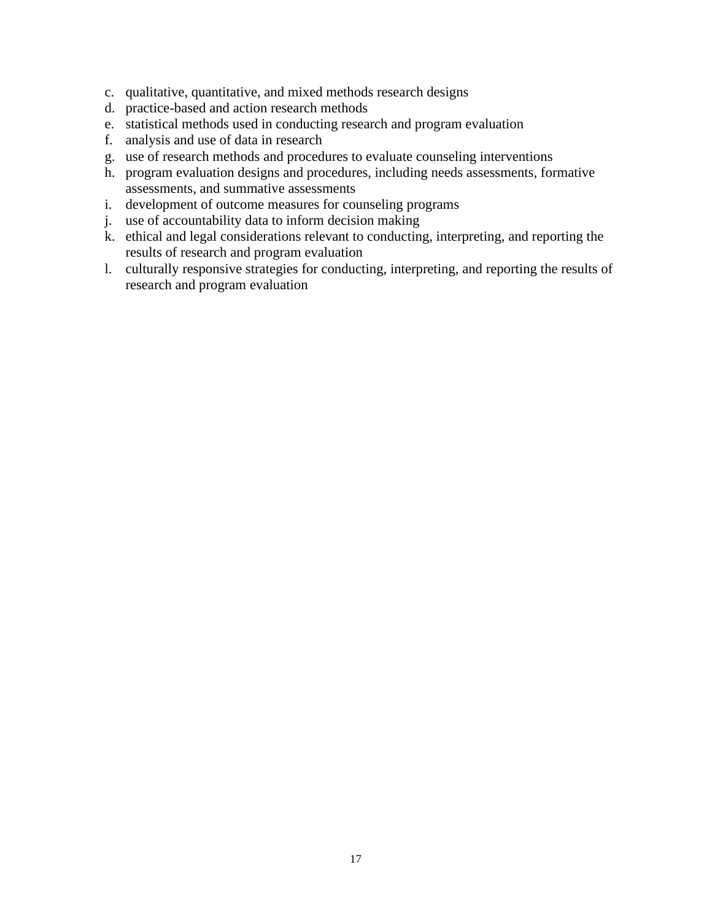- c. qualitative, quantitative, and mixed methods research designs
- d. practice-based and action research methods
- e. statistical methods used in conducting research and program evaluation
- f. analysis and use of data in research
- g. use of research methods and procedures to evaluate counseling interventions
- h. program evaluation designs and procedures, including needs assessments, formative assessments, and summative assessments
- i. development of outcome measures for counseling programs
- j. use of accountability data to inform decision making
- k. ethical and legal considerations relevant to conducting, interpreting, and reporting the results of research and program evaluation
- l. culturally responsive strategies for conducting, interpreting, and reporting the results of research and program evaluation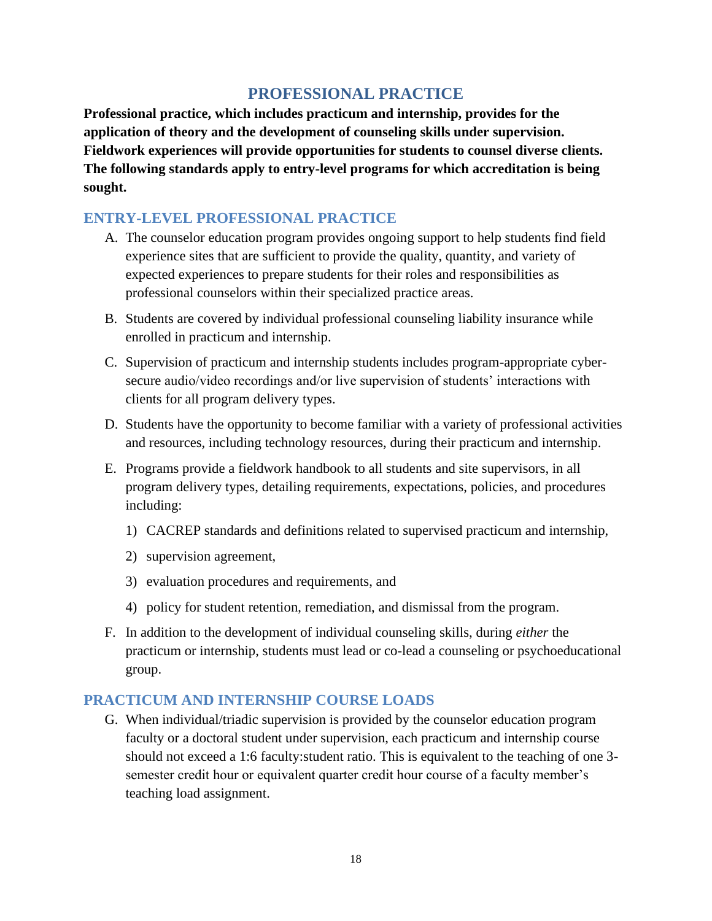# **PROFESSIONAL PRACTICE**

**Professional practice, which includes practicum and internship, provides for the application of theory and the development of counseling skills under supervision. Fieldwork experiences will provide opportunities for students to counsel diverse clients. The following standards apply to entry-level programs for which accreditation is being sought.**

# **ENTRY-LEVEL PROFESSIONAL PRACTICE**

- A. The counselor education program provides ongoing support to help students find field experience sites that are sufficient to provide the quality, quantity, and variety of expected experiences to prepare students for their roles and responsibilities as professional counselors within their specialized practice areas.
- B. Students are covered by individual professional counseling liability insurance while enrolled in practicum and internship.
- C. Supervision of practicum and internship students includes program-appropriate cybersecure audio/video recordings and/or live supervision of students' interactions with clients for all program delivery types.
- D. Students have the opportunity to become familiar with a variety of professional activities and resources, including technology resources, during their practicum and internship.
- E. Programs provide a fieldwork handbook to all students and site supervisors, in all program delivery types, detailing requirements, expectations, policies, and procedures including:
	- 1) CACREP standards and definitions related to supervised practicum and internship,
	- 2) supervision agreement,
	- 3) evaluation procedures and requirements, and
	- 4) policy for student retention, remediation, and dismissal from the program.
- F. In addition to the development of individual counseling skills, during *either* the practicum or internship, students must lead or co-lead a counseling or psychoeducational group.

# **PRACTICUM AND INTERNSHIP COURSE LOADS**

G. When individual/triadic supervision is provided by the counselor education program faculty or a doctoral student under supervision, each practicum and internship course should not exceed a 1:6 faculty:student ratio. This is equivalent to the teaching of one 3 semester credit hour or equivalent quarter credit hour course of a faculty member's teaching load assignment.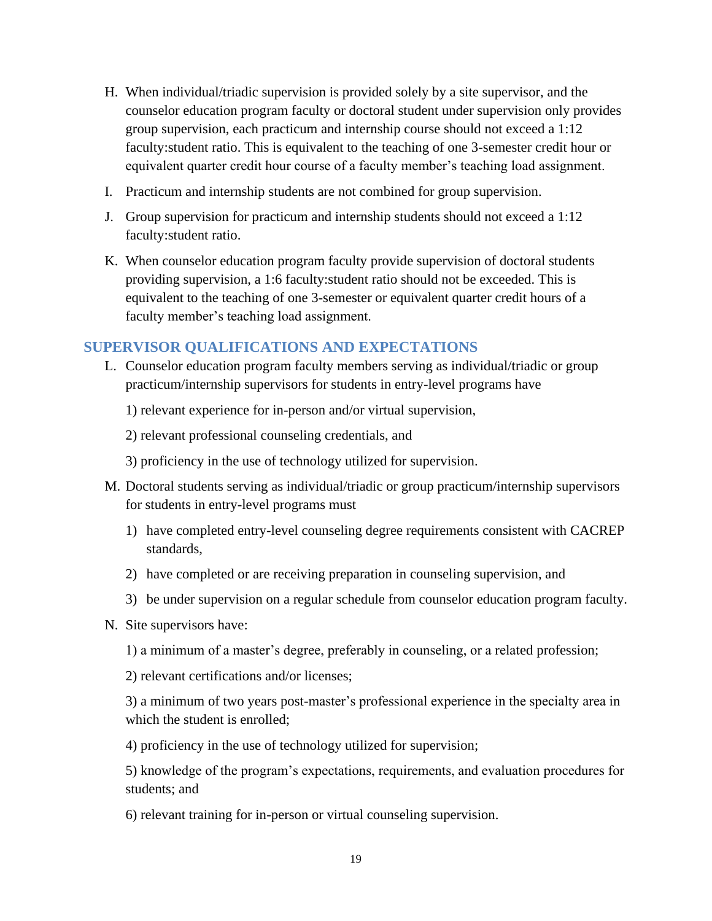- H. When individual/triadic supervision is provided solely by a site supervisor, and the counselor education program faculty or doctoral student under supervision only provides group supervision, each practicum and internship course should not exceed a 1:12 faculty:student ratio. This is equivalent to the teaching of one 3-semester credit hour or equivalent quarter credit hour course of a faculty member's teaching load assignment.
- I. Practicum and internship students are not combined for group supervision.
- J. Group supervision for practicum and internship students should not exceed a 1:12 faculty:student ratio.
- K. When counselor education program faculty provide supervision of doctoral students providing supervision, a 1:6 faculty:student ratio should not be exceeded. This is equivalent to the teaching of one 3-semester or equivalent quarter credit hours of a faculty member's teaching load assignment.

# **SUPERVISOR QUALIFICATIONS AND EXPECTATIONS**

- L. Counselor education program faculty members serving as individual/triadic or group practicum/internship supervisors for students in entry-level programs have
	- 1) relevant experience for in-person and/or virtual supervision,
	- 2) relevant professional counseling credentials, and
	- 3) proficiency in the use of technology utilized for supervision.
- M. Doctoral students serving as individual/triadic or group practicum/internship supervisors for students in entry-level programs must
	- 1) have completed entry-level counseling degree requirements consistent with CACREP standards,
	- 2) have completed or are receiving preparation in counseling supervision, and
	- 3) be under supervision on a regular schedule from counselor education program faculty.
- N. Site supervisors have:
	- 1) a minimum of a master's degree, preferably in counseling, or a related profession;
	- 2) relevant certifications and/or licenses;

3) a minimum of two years post-master's professional experience in the specialty area in which the student is enrolled;

4) proficiency in the use of technology utilized for supervision;

5) knowledge of the program's expectations, requirements, and evaluation procedures for students; and

6) relevant training for in-person or virtual counseling supervision.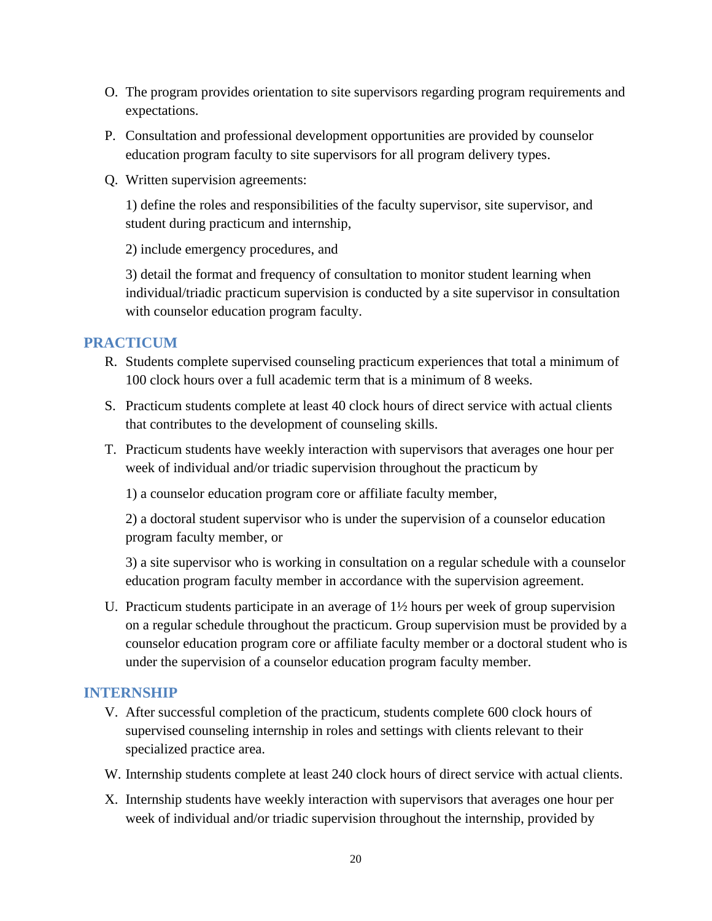- O. The program provides orientation to site supervisors regarding program requirements and expectations.
- P. Consultation and professional development opportunities are provided by counselor education program faculty to site supervisors for all program delivery types.
- Q. Written supervision agreements:

1) define the roles and responsibilities of the faculty supervisor, site supervisor, and student during practicum and internship,

2) include emergency procedures, and

3) detail the format and frequency of consultation to monitor student learning when individual/triadic practicum supervision is conducted by a site supervisor in consultation with counselor education program faculty.

### **PRACTICUM**

- R. Students complete supervised counseling practicum experiences that total a minimum of 100 clock hours over a full academic term that is a minimum of 8 weeks.
- S. Practicum students complete at least 40 clock hours of direct service with actual clients that contributes to the development of counseling skills.
- T. Practicum students have weekly interaction with supervisors that averages one hour per week of individual and/or triadic supervision throughout the practicum by

1) a counselor education program core or affiliate faculty member,

2) a doctoral student supervisor who is under the supervision of a counselor education program faculty member, or

3) a site supervisor who is working in consultation on a regular schedule with a counselor education program faculty member in accordance with the supervision agreement.

U. Practicum students participate in an average of 1½ hours per week of group supervision on a regular schedule throughout the practicum. Group supervision must be provided by a counselor education program core or affiliate faculty member or a doctoral student who is under the supervision of a counselor education program faculty member.

### **INTERNSHIP**

- V. After successful completion of the practicum, students complete 600 clock hours of supervised counseling internship in roles and settings with clients relevant to their specialized practice area.
- W. Internship students complete at least 240 clock hours of direct service with actual clients.
- X. Internship students have weekly interaction with supervisors that averages one hour per week of individual and/or triadic supervision throughout the internship, provided by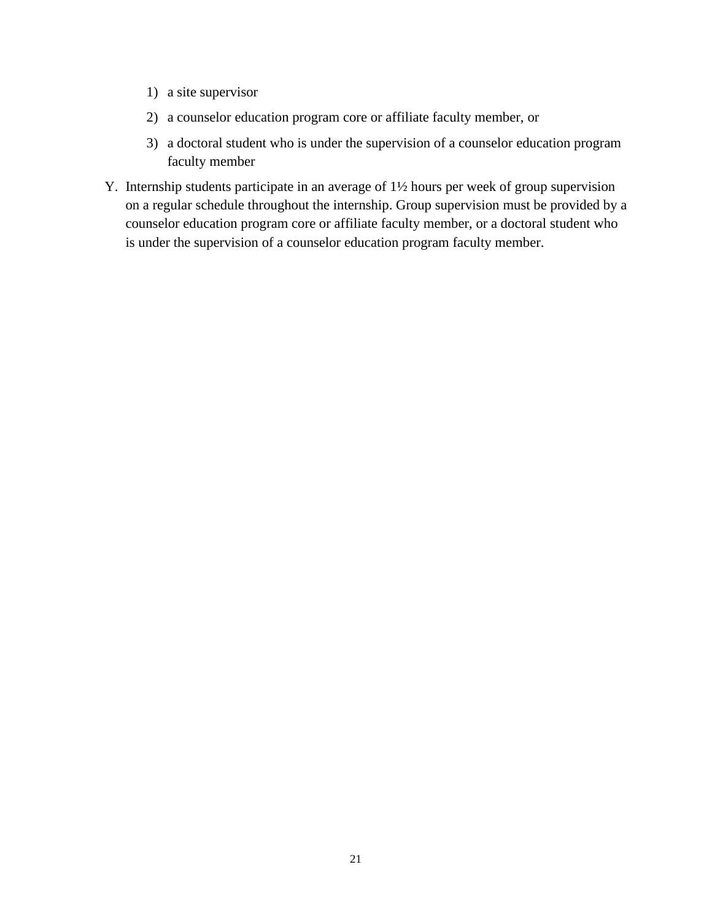- 1) a site supervisor
- 2) a counselor education program core or affiliate faculty member, or
- 3) a doctoral student who is under the supervision of a counselor education program faculty member
- Y. Internship students participate in an average of 1½ hours per week of group supervision on a regular schedule throughout the internship. Group supervision must be provided by a counselor education program core or affiliate faculty member, or a doctoral student who is under the supervision of a counselor education program faculty member.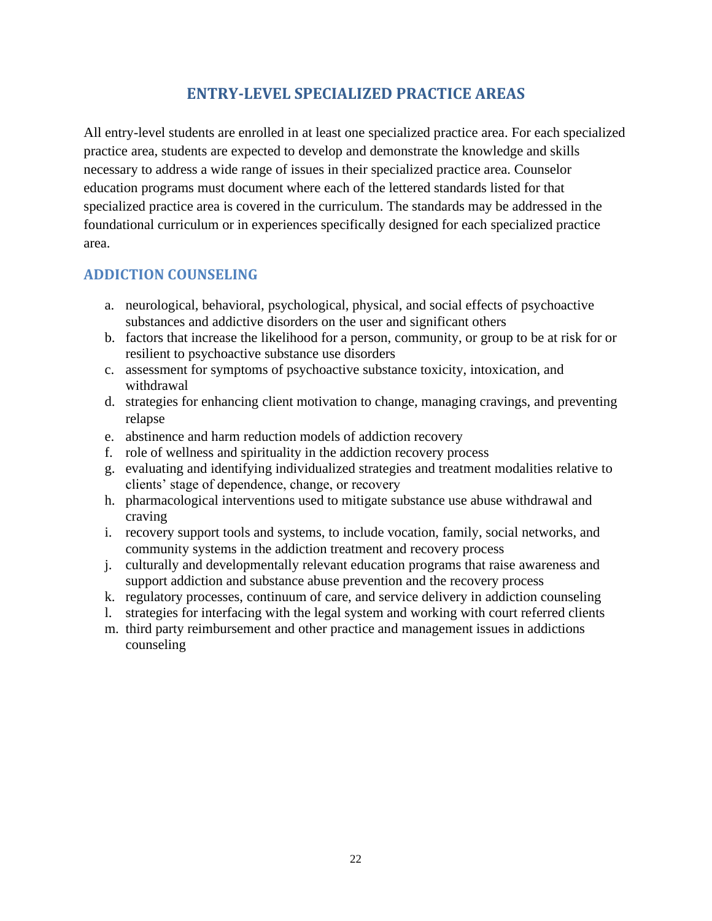# **ENTRY-LEVEL SPECIALIZED PRACTICE AREAS**

All entry-level students are enrolled in at least one specialized practice area. For each specialized practice area, students are expected to develop and demonstrate the knowledge and skills necessary to address a wide range of issues in their specialized practice area. Counselor education programs must document where each of the lettered standards listed for that specialized practice area is covered in the curriculum. The standards may be addressed in the foundational curriculum or in experiences specifically designed for each specialized practice area.

# **ADDICTION COUNSELING**

- a. neurological, behavioral, psychological, physical, and social effects of psychoactive substances and addictive disorders on the user and significant others
- b. factors that increase the likelihood for a person, community, or group to be at risk for or resilient to psychoactive substance use disorders
- c. assessment for symptoms of psychoactive substance toxicity, intoxication, and withdrawal
- d. strategies for enhancing client motivation to change, managing cravings, and preventing relapse
- e. abstinence and harm reduction models of addiction recovery
- f. role of wellness and spirituality in the addiction recovery process
- g. evaluating and identifying individualized strategies and treatment modalities relative to clients' stage of dependence, change, or recovery
- h. pharmacological interventions used to mitigate substance use abuse withdrawal and craving
- i. recovery support tools and systems, to include vocation, family, social networks, and community systems in the addiction treatment and recovery process
- j. culturally and developmentally relevant education programs that raise awareness and support addiction and substance abuse prevention and the recovery process
- k. regulatory processes, continuum of care, and service delivery in addiction counseling
- l. strategies for interfacing with the legal system and working with court referred clients
- m. third party reimbursement and other practice and management issues in addictions counseling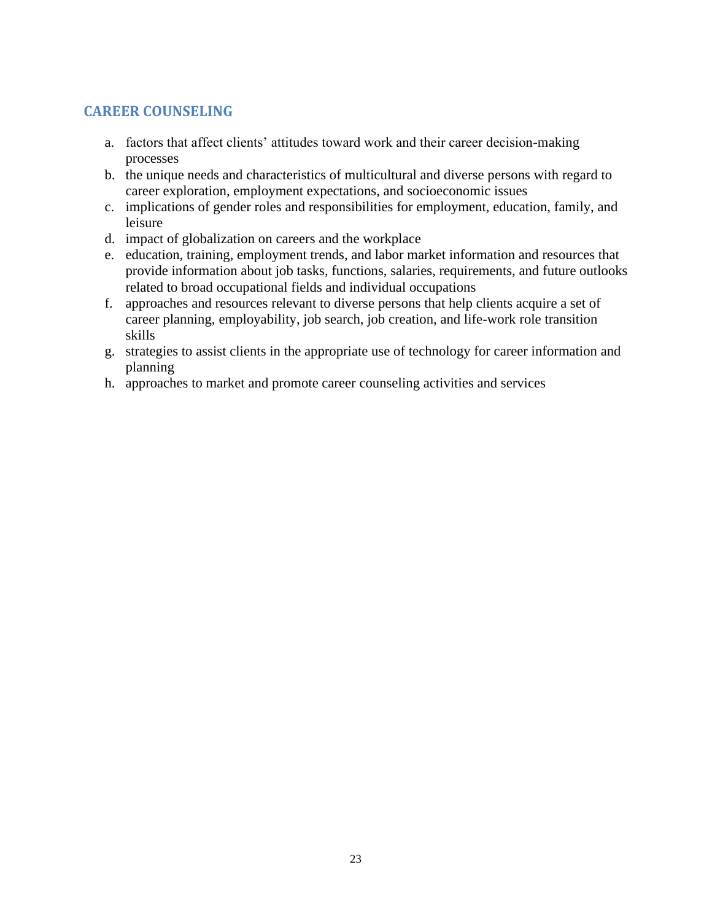# **CAREER COUNSELING**

- a. factors that affect clients' attitudes toward work and their career decision-making processes
- b. the unique needs and characteristics of multicultural and diverse persons with regard to career exploration, employment expectations, and socioeconomic issues
- c. implications of gender roles and responsibilities for employment, education, family, and leisure
- d. impact of globalization on careers and the workplace
- e. education, training, employment trends, and labor market information and resources that provide information about job tasks, functions, salaries, requirements, and future outlooks related to broad occupational fields and individual occupations
- f. approaches and resources relevant to diverse persons that help clients acquire a set of career planning, employability, job search, job creation, and life-work role transition skills
- g. strategies to assist clients in the appropriate use of technology for career information and planning
- h. approaches to market and promote career counseling activities and services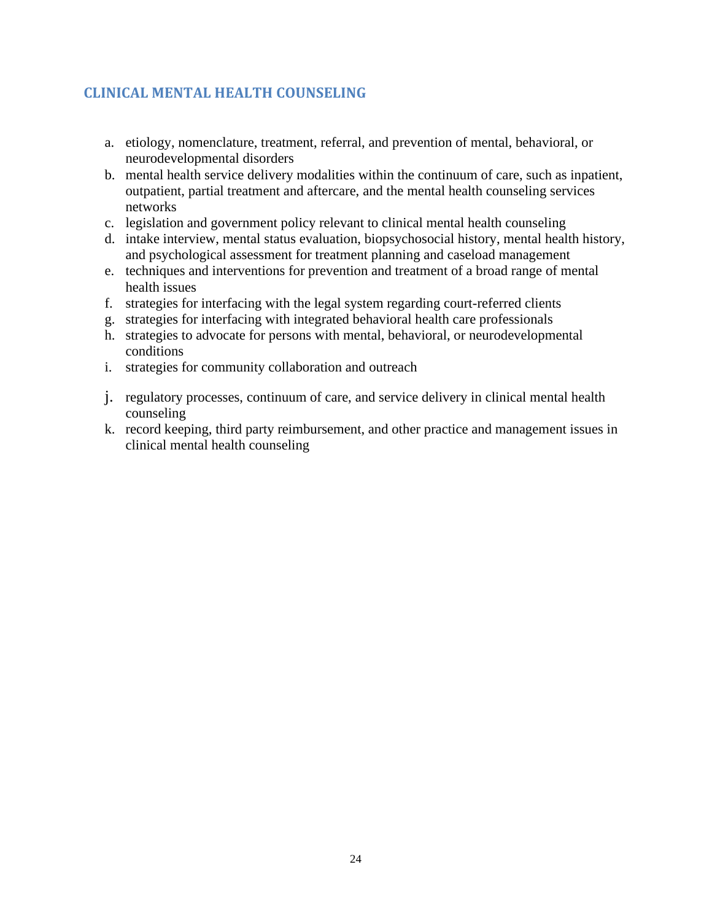# **CLINICAL MENTAL HEALTH COUNSELING**

- a. etiology, nomenclature, treatment, referral, and prevention of mental, behavioral, or neurodevelopmental disorders
- b. mental health service delivery modalities within the continuum of care, such as inpatient, outpatient, partial treatment and aftercare, and the mental health counseling services networks
- c. legislation and government policy relevant to clinical mental health counseling
- d. intake interview, mental status evaluation, biopsychosocial history, mental health history, and psychological assessment for treatment planning and caseload management
- e. techniques and interventions for prevention and treatment of a broad range of mental health issues
- f. strategies for interfacing with the legal system regarding court-referred clients
- g. strategies for interfacing with integrated behavioral health care professionals
- h. strategies to advocate for persons with mental, behavioral, or neurodevelopmental conditions
- i. strategies for community collaboration and outreach
- j. regulatory processes, continuum of care, and service delivery in clinical mental health counseling
- k. record keeping, third party reimbursement, and other practice and management issues in clinical mental health counseling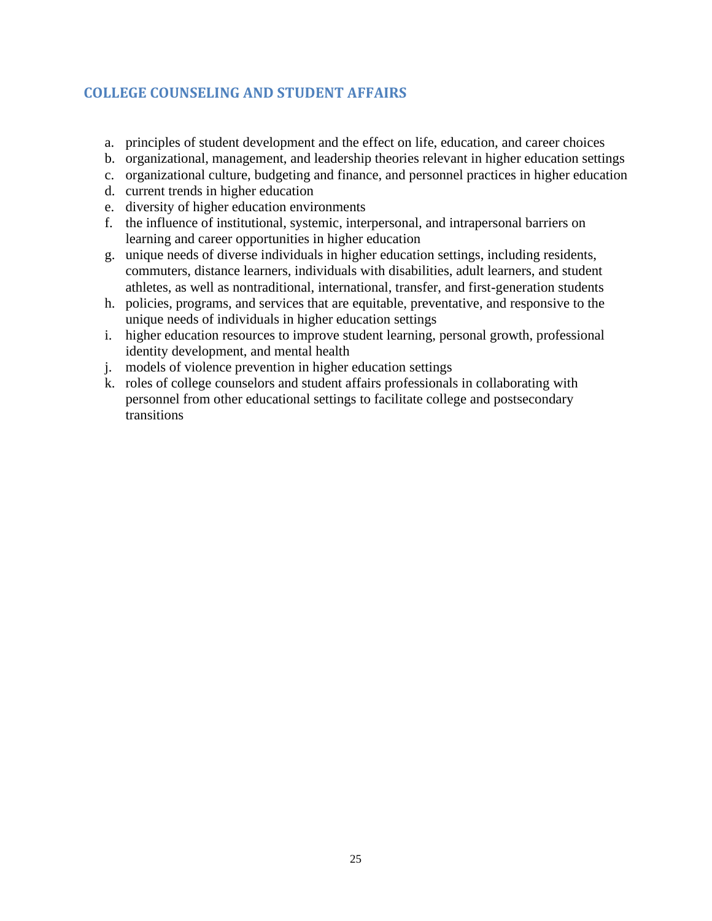# **COLLEGE COUNSELING AND STUDENT AFFAIRS**

- a. principles of student development and the effect on life, education, and career choices
- b. organizational, management, and leadership theories relevant in higher education settings
- c. organizational culture, budgeting and finance, and personnel practices in higher education
- d. current trends in higher education
- e. diversity of higher education environments
- f. the influence of institutional, systemic, interpersonal, and intrapersonal barriers on learning and career opportunities in higher education
- g. unique needs of diverse individuals in higher education settings, including residents, commuters, distance learners, individuals with disabilities, adult learners, and student athletes, as well as nontraditional, international, transfer, and first-generation students
- h. policies, programs, and services that are equitable, preventative, and responsive to the unique needs of individuals in higher education settings
- i. higher education resources to improve student learning, personal growth, professional identity development, and mental health
- j. models of violence prevention in higher education settings
- k. roles of college counselors and student affairs professionals in collaborating with personnel from other educational settings to facilitate college and postsecondary transitions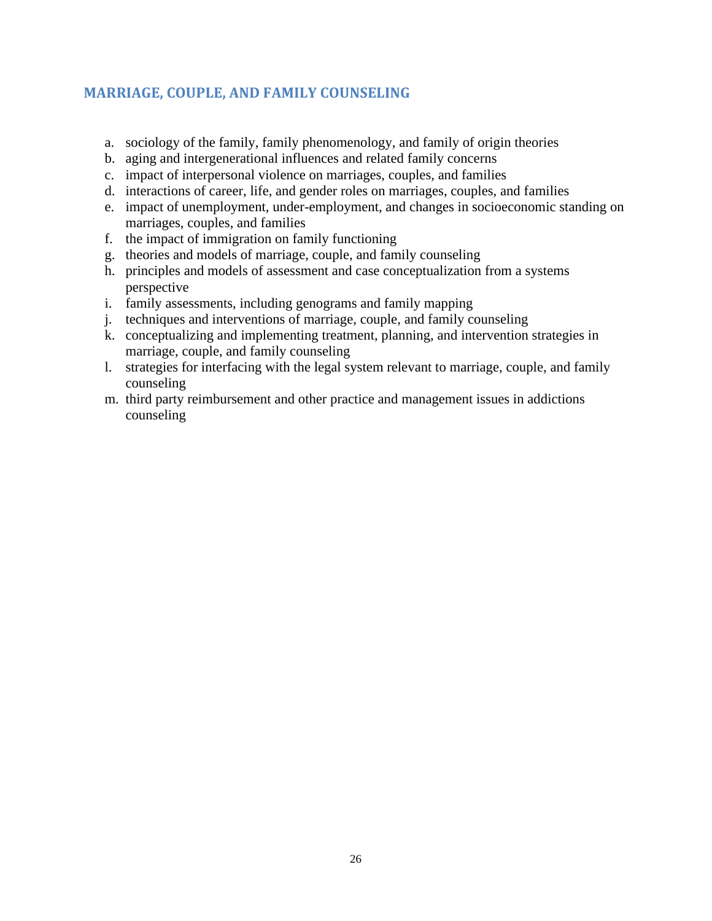# **MARRIAGE, COUPLE, AND FAMILY COUNSELING**

- a. sociology of the family, family phenomenology, and family of origin theories
- b. aging and intergenerational influences and related family concerns
- c. impact of interpersonal violence on marriages, couples, and families
- d. interactions of career, life, and gender roles on marriages, couples, and families
- e. impact of unemployment, under-employment, and changes in socioeconomic standing on marriages, couples, and families
- f. the impact of immigration on family functioning
- g. theories and models of marriage, couple, and family counseling
- h. principles and models of assessment and case conceptualization from a systems perspective
- i. family assessments, including genograms and family mapping
- j. techniques and interventions of marriage, couple, and family counseling
- k. conceptualizing and implementing treatment, planning, and intervention strategies in marriage, couple, and family counseling
- l. strategies for interfacing with the legal system relevant to marriage, couple, and family counseling
- m. third party reimbursement and other practice and management issues in addictions counseling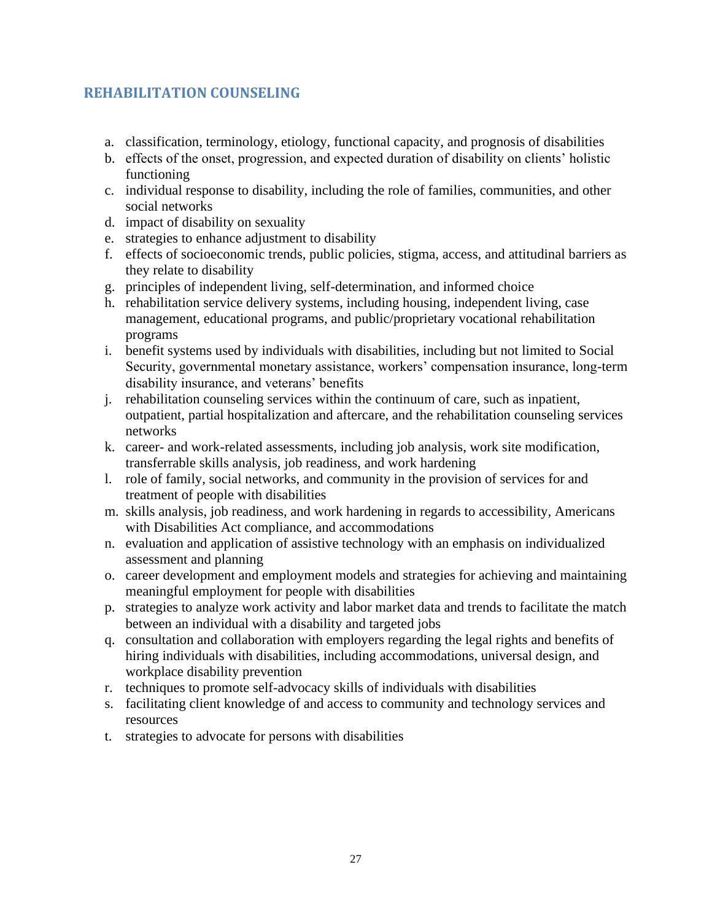# **REHABILITATION COUNSELING**

- a. classification, terminology, etiology, functional capacity, and prognosis of disabilities
- b. effects of the onset, progression, and expected duration of disability on clients' holistic functioning
- c. individual response to disability, including the role of families, communities, and other social networks
- d. impact of disability on sexuality
- e. strategies to enhance adjustment to disability
- f. effects of socioeconomic trends, public policies, stigma, access, and attitudinal barriers as they relate to disability
- g. principles of independent living, self-determination, and informed choice
- h. rehabilitation service delivery systems, including housing, independent living, case management, educational programs, and public/proprietary vocational rehabilitation programs
- i. benefit systems used by individuals with disabilities, including but not limited to Social Security, governmental monetary assistance, workers' compensation insurance, long-term disability insurance, and veterans' benefits
- j. rehabilitation counseling services within the continuum of care, such as inpatient, outpatient, partial hospitalization and aftercare, and the rehabilitation counseling services networks
- k. career- and work-related assessments, including job analysis, work site modification, transferrable skills analysis, job readiness, and work hardening
- l. role of family, social networks, and community in the provision of services for and treatment of people with disabilities
- m. skills analysis, job readiness, and work hardening in regards to accessibility, Americans with Disabilities Act compliance, and accommodations
- n. evaluation and application of assistive technology with an emphasis on individualized assessment and planning
- o. career development and employment models and strategies for achieving and maintaining meaningful employment for people with disabilities
- p. strategies to analyze work activity and labor market data and trends to facilitate the match between an individual with a disability and targeted jobs
- q. consultation and collaboration with employers regarding the legal rights and benefits of hiring individuals with disabilities, including accommodations, universal design, and workplace disability prevention
- r. techniques to promote self-advocacy skills of individuals with disabilities
- s. facilitating client knowledge of and access to community and technology services and resources
- t. strategies to advocate for persons with disabilities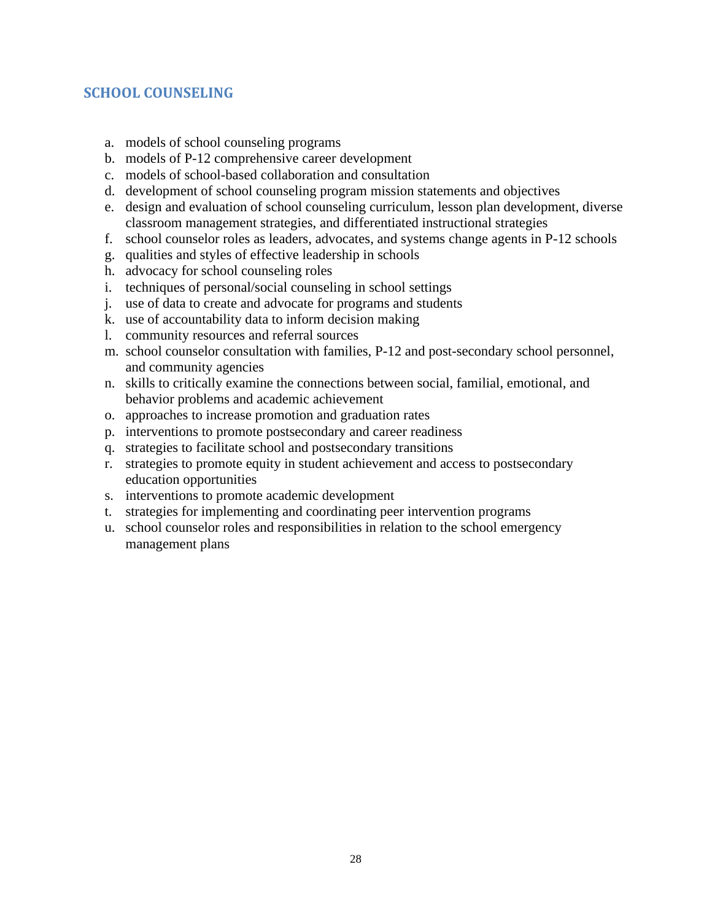# **SCHOOL COUNSELING**

- a. models of school counseling programs
- b. models of P-12 comprehensive career development
- c. models of school-based collaboration and consultation
- d. development of school counseling program mission statements and objectives
- e. design and evaluation of school counseling curriculum, lesson plan development, diverse classroom management strategies, and differentiated instructional strategies
- f. school counselor roles as leaders, advocates, and systems change agents in P-12 schools
- g. qualities and styles of effective leadership in schools
- h. advocacy for school counseling roles
- i. techniques of personal/social counseling in school settings
- j. use of data to create and advocate for programs and students
- k. use of accountability data to inform decision making
- l. community resources and referral sources
- m. school counselor consultation with families, P-12 and post-secondary school personnel, and community agencies
- n. skills to critically examine the connections between social, familial, emotional, and behavior problems and academic achievement
- o. approaches to increase promotion and graduation rates
- p. interventions to promote postsecondary and career readiness
- q. strategies to facilitate school and postsecondary transitions
- r. strategies to promote equity in student achievement and access to postsecondary education opportunities
- s. interventions to promote academic development
- t. strategies for implementing and coordinating peer intervention programs
- u. school counselor roles and responsibilities in relation to the school emergency management plans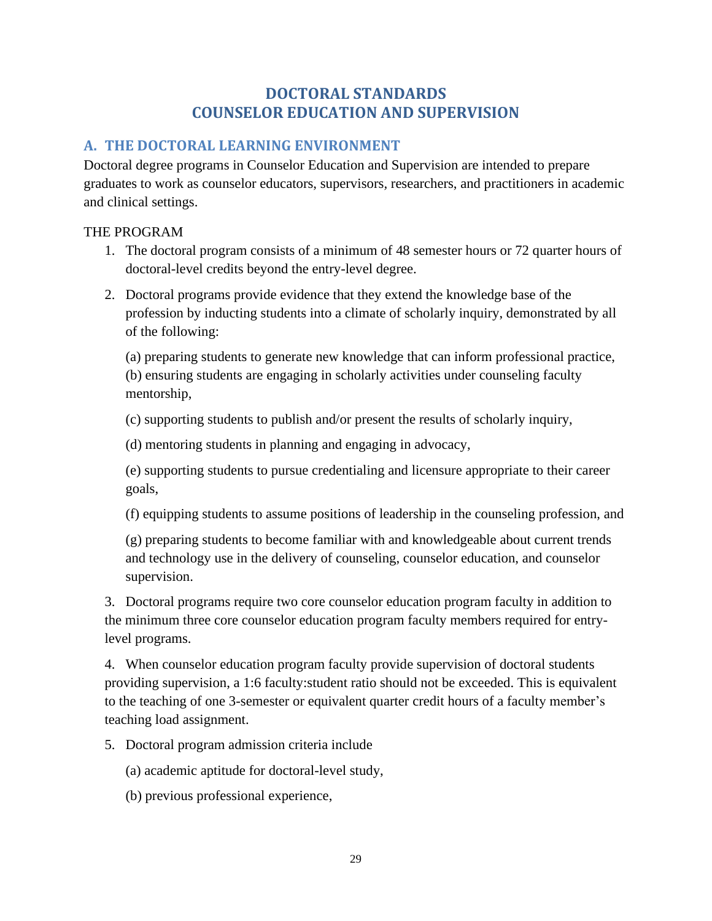# **DOCTORAL STANDARDS COUNSELOR EDUCATION AND SUPERVISION**

# **A. THE DOCTORAL LEARNING ENVIRONMENT**

Doctoral degree programs in Counselor Education and Supervision are intended to prepare graduates to work as counselor educators, supervisors*,* researchers, and practitioners in academic and clinical settings.

#### THE PROGRAM

- 1. The doctoral program consists of a minimum of 48 semester hours or 72 quarter hours of doctoral-level credits beyond the entry-level degree.
- 2. Doctoral programs provide evidence that they extend the knowledge base of the profession by inducting students into a climate of scholarly inquiry, demonstrated by all of the following:

(a) preparing students to generate new knowledge that can inform professional practice, (b) ensuring students are engaging in scholarly activities under counseling faculty mentorship,

(c) supporting students to publish and/or present the results of scholarly inquiry,

(d) mentoring students in planning and engaging in advocacy,

(e) supporting students to pursue credentialing and licensure appropriate to their career goals,

(f) equipping students to assume positions of leadership in the counseling profession, and

(g) preparing students to become familiar with and knowledgeable about current trends and technology use in the delivery of counseling, counselor education, and counselor supervision.

3. Doctoral programs require two core counselor education program faculty in addition to the minimum three core counselor education program faculty members required for entrylevel programs.

4. When counselor education program faculty provide supervision of doctoral students providing supervision, a 1:6 faculty:student ratio should not be exceeded. This is equivalent to the teaching of one 3-semester or equivalent quarter credit hours of a faculty member's teaching load assignment.

5. Doctoral program admission criteria include

(a) academic aptitude for doctoral-level study,

(b) previous professional experience,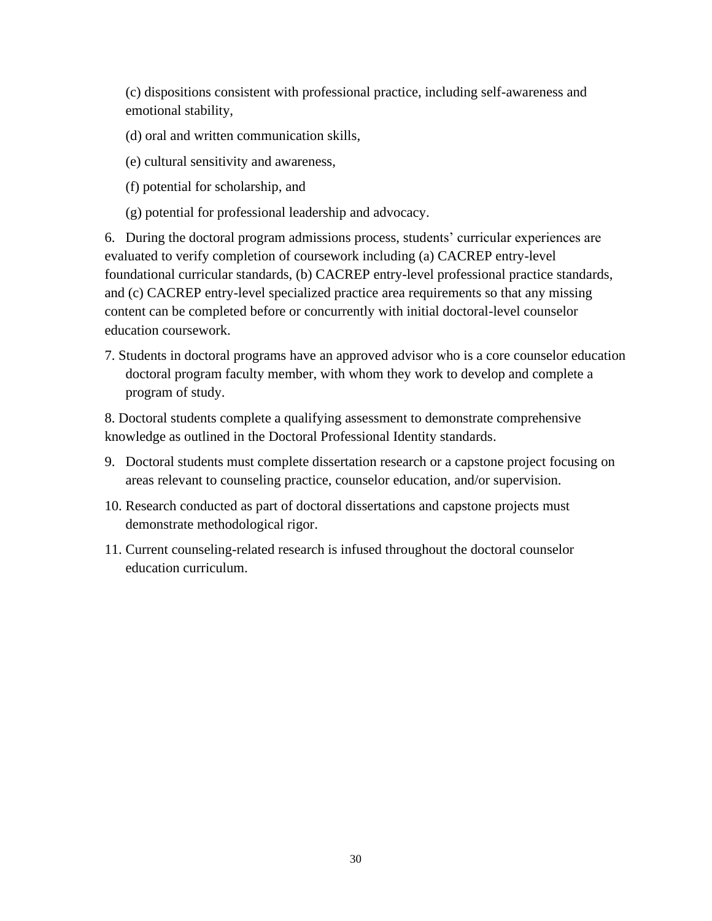(c) dispositions consistent with professional practice, including self-awareness and emotional stability,

- (d) oral and written communication skills,
- (e) cultural sensitivity and awareness,
- (f) potential for scholarship, and
- (g) potential for professional leadership and advocacy.

6. During the doctoral program admissions process, students' curricular experiences are evaluated to verify completion of coursework including (a) CACREP entry-level foundational curricular standards, (b) CACREP entry-level professional practice standards, and (c) CACREP entry-level specialized practice area requirements so that any missing content can be completed before or concurrently with initial doctoral-level counselor education coursework.

7. Students in doctoral programs have an approved advisor who is a core counselor education doctoral program faculty member, with whom they work to develop and complete a program of study.

8. Doctoral students complete a qualifying assessment to demonstrate comprehensive knowledge as outlined in the Doctoral Professional Identity standards.

- 9. Doctoral students must complete dissertation research or a capstone project focusing on areas relevant to counseling practice, counselor education, and/or supervision.
- 10. Research conducted as part of doctoral dissertations and capstone projects must demonstrate methodological rigor.
- 11. Current counseling-related research is infused throughout the doctoral counselor education curriculum.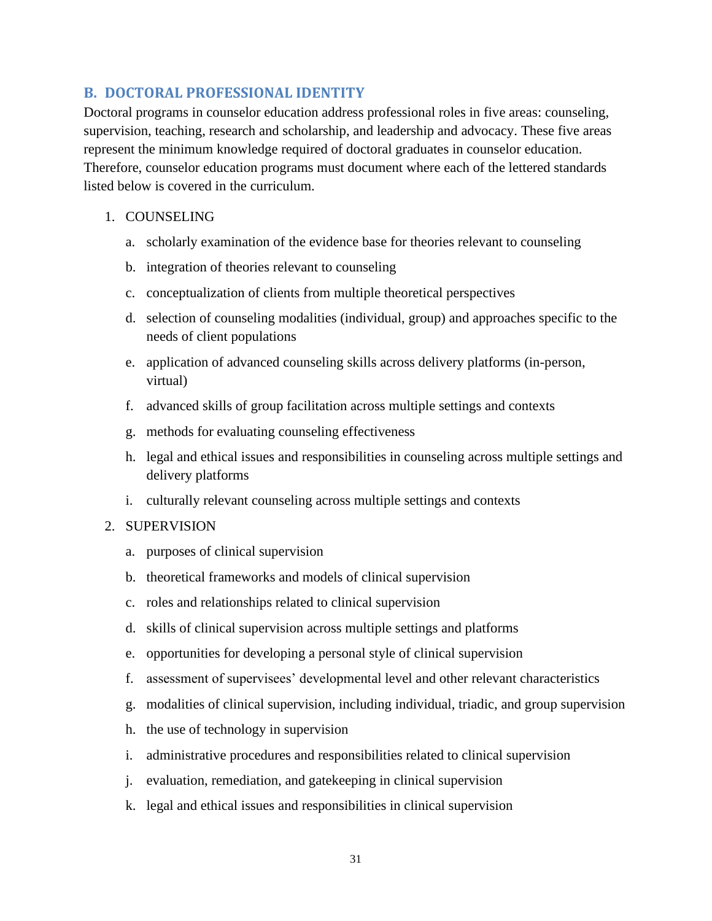### **B. DOCTORAL PROFESSIONAL IDENTITY**

Doctoral programs in counselor education address professional roles in five areas: counseling, supervision, teaching, research and scholarship, and leadership and advocacy. These five areas represent the minimum knowledge required of doctoral graduates in counselor education. Therefore, counselor education programs must document where each of the lettered standards listed below is covered in the curriculum.

#### 1. COUNSELING

- a. scholarly examination of the evidence base for theories relevant to counseling
- b. integration of theories relevant to counseling
- c. conceptualization of clients from multiple theoretical perspectives
- d. selection of counseling modalities (individual, group) and approaches specific to the needs of client populations
- e. application of advanced counseling skills across delivery platforms (in-person, virtual)
- f. advanced skills of group facilitation across multiple settings and contexts
- g. methods for evaluating counseling effectiveness
- h. legal and ethical issues and responsibilities in counseling across multiple settings and delivery platforms
- i. culturally relevant counseling across multiple settings and contexts

#### 2. SUPERVISION

- a. purposes of clinical supervision
- b. theoretical frameworks and models of clinical supervision
- c. roles and relationships related to clinical supervision
- d. skills of clinical supervision across multiple settings and platforms
- e. opportunities for developing a personal style of clinical supervision
- f. assessment of supervisees' developmental level and other relevant characteristics
- g. modalities of clinical supervision, including individual, triadic, and group supervision
- h. the use of technology in supervision
- i. administrative procedures and responsibilities related to clinical supervision
- j. evaluation, remediation, and gatekeeping in clinical supervision
- k. legal and ethical issues and responsibilities in clinical supervision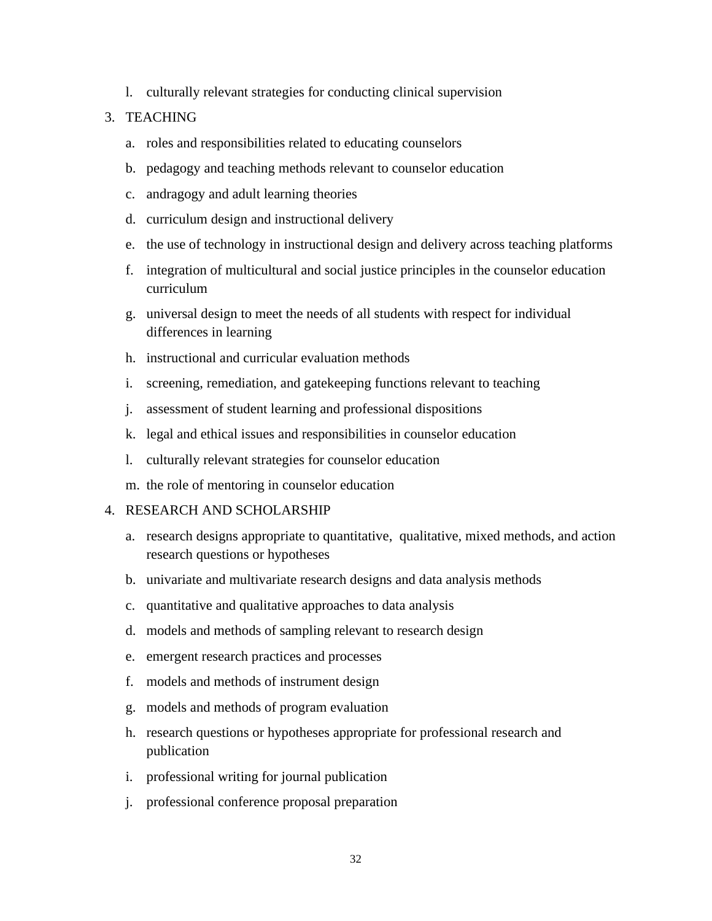l. culturally relevant strategies for conducting clinical supervision

#### 3. TEACHING

- a. roles and responsibilities related to educating counselors
- b. pedagogy and teaching methods relevant to counselor education
- c. andragogy and adult learning theories
- d. curriculum design and instructional delivery
- e. the use of technology in instructional design and delivery across teaching platforms
- f. integration of multicultural and social justice principles in the counselor education curriculum
- g. universal design to meet the needs of all students with respect for individual differences in learning
- h. instructional and curricular evaluation methods
- i. screening, remediation, and gatekeeping functions relevant to teaching
- j. assessment of student learning and professional dispositions
- k. legal and ethical issues and responsibilities in counselor education
- l. culturally relevant strategies for counselor education
- m. the role of mentoring in counselor education

#### 4. RESEARCH AND SCHOLARSHIP

- a. research designs appropriate to quantitative, qualitative, mixed methods, and action research questions or hypotheses
- b. univariate and multivariate research designs and data analysis methods
- c. quantitative and qualitative approaches to data analysis
- d. models and methods of sampling relevant to research design
- e. emergent research practices and processes
- f. models and methods of instrument design
- g. models and methods of program evaluation
- h. research questions or hypotheses appropriate for professional research and publication
- i. professional writing for journal publication
- j. professional conference proposal preparation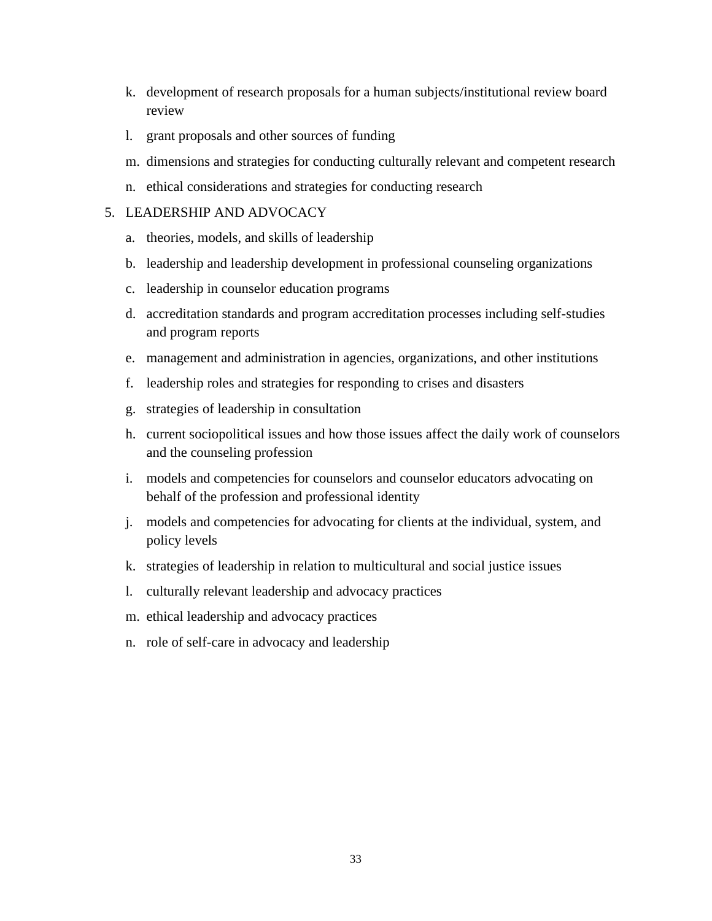- k. development of research proposals for a human subjects/institutional review board review
- l. grant proposals and other sources of funding
- m. dimensions and strategies for conducting culturally relevant and competent research
- n. ethical considerations and strategies for conducting research

#### 5. LEADERSHIP AND ADVOCACY

- a. theories, models, and skills of leadership
- b. leadership and leadership development in professional counseling organizations
- c. leadership in counselor education programs
- d. accreditation standards and program accreditation processes including self-studies and program reports
- e. management and administration in agencies, organizations, and other institutions
- f. leadership roles and strategies for responding to crises and disasters
- g. strategies of leadership in consultation
- h. current sociopolitical issues and how those issues affect the daily work of counselors and the counseling profession
- i. models and competencies for counselors and counselor educators advocating on behalf of the profession and professional identity
- j. models and competencies for advocating for clients at the individual, system, and policy levels
- k. strategies of leadership in relation to multicultural and social justice issues
- l. culturally relevant leadership and advocacy practices
- m. ethical leadership and advocacy practices
- n. role of self-care in advocacy and leadership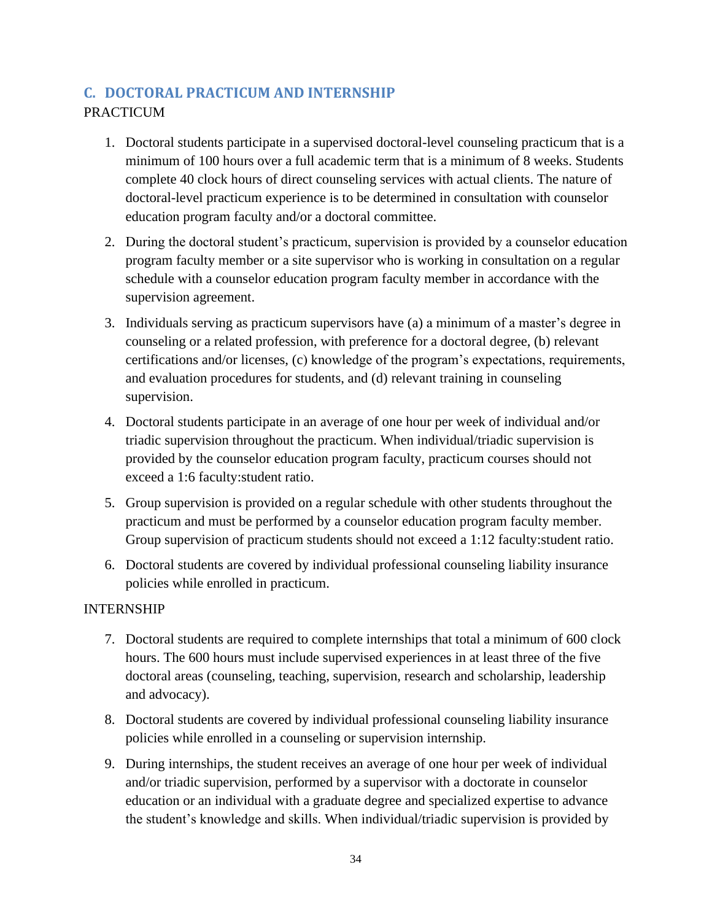# **C. DOCTORAL PRACTICUM AND INTERNSHIP PRACTICUM**

- 1. Doctoral students participate in a supervised doctoral-level counseling practicum that is a minimum of 100 hours over a full academic term that is a minimum of 8 weeks. Students complete 40 clock hours of direct counseling services with actual clients. The nature of doctoral-level practicum experience is to be determined in consultation with counselor education program faculty and/or a doctoral committee.
- 2. During the doctoral student's practicum, supervision is provided by a counselor education program faculty member or a site supervisor who is working in consultation on a regular schedule with a counselor education program faculty member in accordance with the supervision agreement.
- 3. Individuals serving as practicum supervisors have (a) a minimum of a master's degree in counseling or a related profession, with preference for a doctoral degree, (b) relevant certifications and/or licenses, (c) knowledge of the program's expectations, requirements, and evaluation procedures for students, and (d) relevant training in counseling supervision.
- 4. Doctoral students participate in an average of one hour per week of individual and/or triadic supervision throughout the practicum. When individual/triadic supervision is provided by the counselor education program faculty, practicum courses should not exceed a 1:6 faculty:student ratio.
- 5. Group supervision is provided on a regular schedule with other students throughout the practicum and must be performed by a counselor education program faculty member. Group supervision of practicum students should not exceed a 1:12 faculty:student ratio.
- 6. Doctoral students are covered by individual professional counseling liability insurance policies while enrolled in practicum.

### INTERNSHIP

- 7. Doctoral students are required to complete internships that total a minimum of 600 clock hours. The 600 hours must include supervised experiences in at least three of the five doctoral areas (counseling, teaching, supervision, research and scholarship, leadership and advocacy).
- 8. Doctoral students are covered by individual professional counseling liability insurance policies while enrolled in a counseling or supervision internship.
- 9. During internships, the student receives an average of one hour per week of individual and/or triadic supervision, performed by a supervisor with a doctorate in counselor education or an individual with a graduate degree and specialized expertise to advance the student's knowledge and skills. When individual/triadic supervision is provided by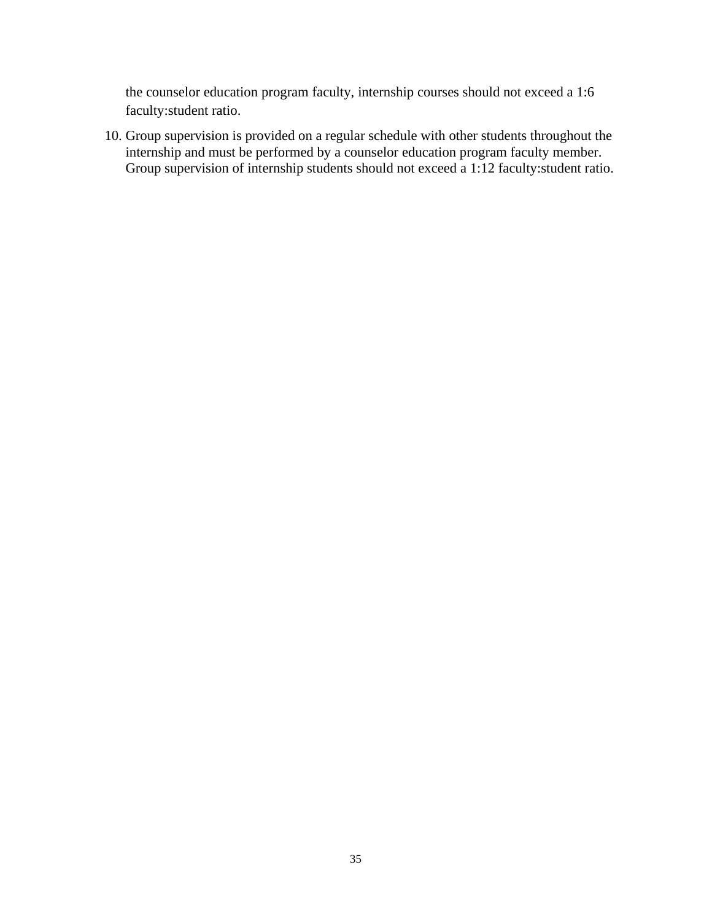the counselor education program faculty, internship courses should not exceed a 1:6 faculty:student ratio.

10. Group supervision is provided on a regular schedule with other students throughout the internship and must be performed by a counselor education program faculty member. Group supervision of internship students should not exceed a 1:12 faculty:student ratio.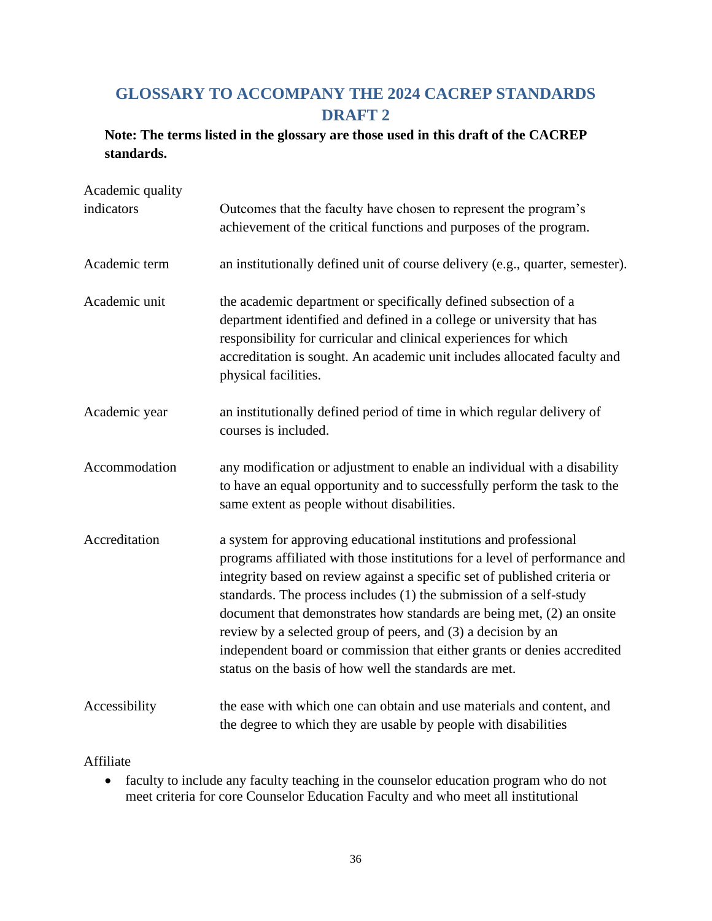# **GLOSSARY TO ACCOMPANY THE 2024 CACREP STANDARDS DRAFT 2**

# **Note: The terms listed in the glossary are those used in this draft of the CACREP standards.**

| Academic quality |                                                                                                                                                                                                                                                                                                                                                                                                                                                                                                                                                                                  |
|------------------|----------------------------------------------------------------------------------------------------------------------------------------------------------------------------------------------------------------------------------------------------------------------------------------------------------------------------------------------------------------------------------------------------------------------------------------------------------------------------------------------------------------------------------------------------------------------------------|
| indicators       | Outcomes that the faculty have chosen to represent the program's<br>achievement of the critical functions and purposes of the program.                                                                                                                                                                                                                                                                                                                                                                                                                                           |
| Academic term    | an institutionally defined unit of course delivery (e.g., quarter, semester).                                                                                                                                                                                                                                                                                                                                                                                                                                                                                                    |
| Academic unit    | the academic department or specifically defined subsection of a<br>department identified and defined in a college or university that has<br>responsibility for curricular and clinical experiences for which<br>accreditation is sought. An academic unit includes allocated faculty and<br>physical facilities.                                                                                                                                                                                                                                                                 |
| Academic year    | an institutionally defined period of time in which regular delivery of<br>courses is included.                                                                                                                                                                                                                                                                                                                                                                                                                                                                                   |
| Accommodation    | any modification or adjustment to enable an individual with a disability<br>to have an equal opportunity and to successfully perform the task to the<br>same extent as people without disabilities.                                                                                                                                                                                                                                                                                                                                                                              |
| Accreditation    | a system for approving educational institutions and professional<br>programs affiliated with those institutions for a level of performance and<br>integrity based on review against a specific set of published criteria or<br>standards. The process includes (1) the submission of a self-study<br>document that demonstrates how standards are being met, (2) an onsite<br>review by a selected group of peers, and (3) a decision by an<br>independent board or commission that either grants or denies accredited<br>status on the basis of how well the standards are met. |
| Accessibility    | the ease with which one can obtain and use materials and content, and<br>the degree to which they are usable by people with disabilities                                                                                                                                                                                                                                                                                                                                                                                                                                         |

### Affiliate

• faculty to include any faculty teaching in the counselor education program who do not meet criteria for core Counselor Education Faculty and who meet all institutional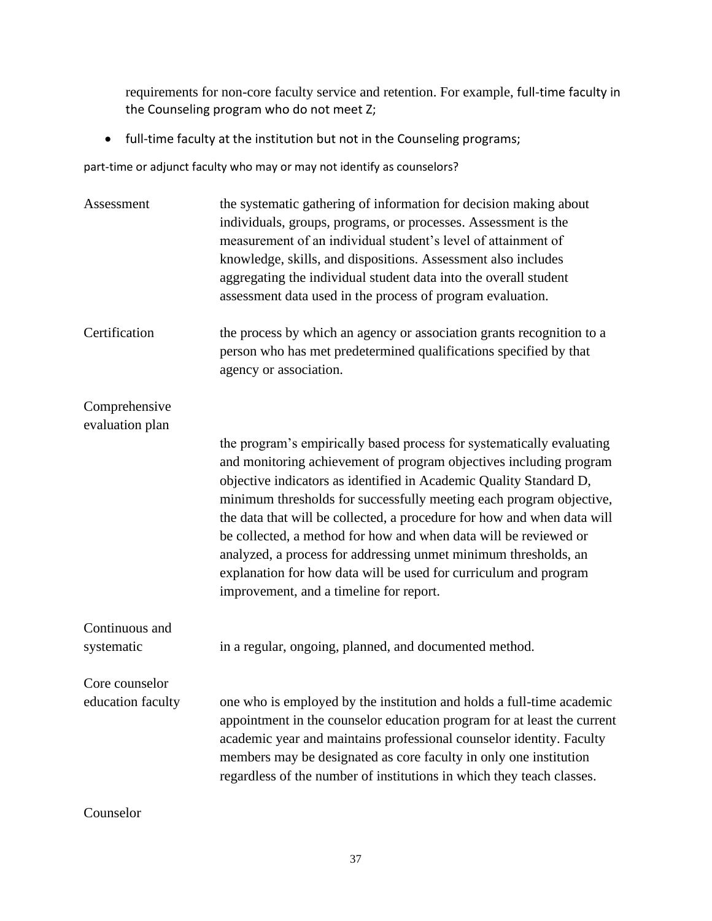requirements for non-core faculty service and retention. For example, full-time faculty in the Counseling program who do not meet Z;

• full-time faculty at the institution but not in the Counseling programs;

part-time or adjunct faculty who may or may not identify as counselors?

| Assessment                          | the systematic gathering of information for decision making about<br>individuals, groups, programs, or processes. Assessment is the<br>measurement of an individual student's level of attainment of<br>knowledge, skills, and dispositions. Assessment also includes<br>aggregating the individual student data into the overall student<br>assessment data used in the process of program evaluation.                                                                                                                                                                                                                   |
|-------------------------------------|---------------------------------------------------------------------------------------------------------------------------------------------------------------------------------------------------------------------------------------------------------------------------------------------------------------------------------------------------------------------------------------------------------------------------------------------------------------------------------------------------------------------------------------------------------------------------------------------------------------------------|
| Certification                       | the process by which an agency or association grants recognition to a<br>person who has met predetermined qualifications specified by that<br>agency or association.                                                                                                                                                                                                                                                                                                                                                                                                                                                      |
| Comprehensive<br>evaluation plan    |                                                                                                                                                                                                                                                                                                                                                                                                                                                                                                                                                                                                                           |
|                                     | the program's empirically based process for systematically evaluating<br>and monitoring achievement of program objectives including program<br>objective indicators as identified in Academic Quality Standard D,<br>minimum thresholds for successfully meeting each program objective,<br>the data that will be collected, a procedure for how and when data will<br>be collected, a method for how and when data will be reviewed or<br>analyzed, a process for addressing unmet minimum thresholds, an<br>explanation for how data will be used for curriculum and program<br>improvement, and a timeline for report. |
| Continuous and<br>systematic        | in a regular, ongoing, planned, and documented method.                                                                                                                                                                                                                                                                                                                                                                                                                                                                                                                                                                    |
| Core counselor<br>education faculty | one who is employed by the institution and holds a full-time academic<br>appointment in the counselor education program for at least the current<br>academic year and maintains professional counselor identity. Faculty<br>members may be designated as core faculty in only one institution<br>regardless of the number of institutions in which they teach classes.                                                                                                                                                                                                                                                    |

Counselor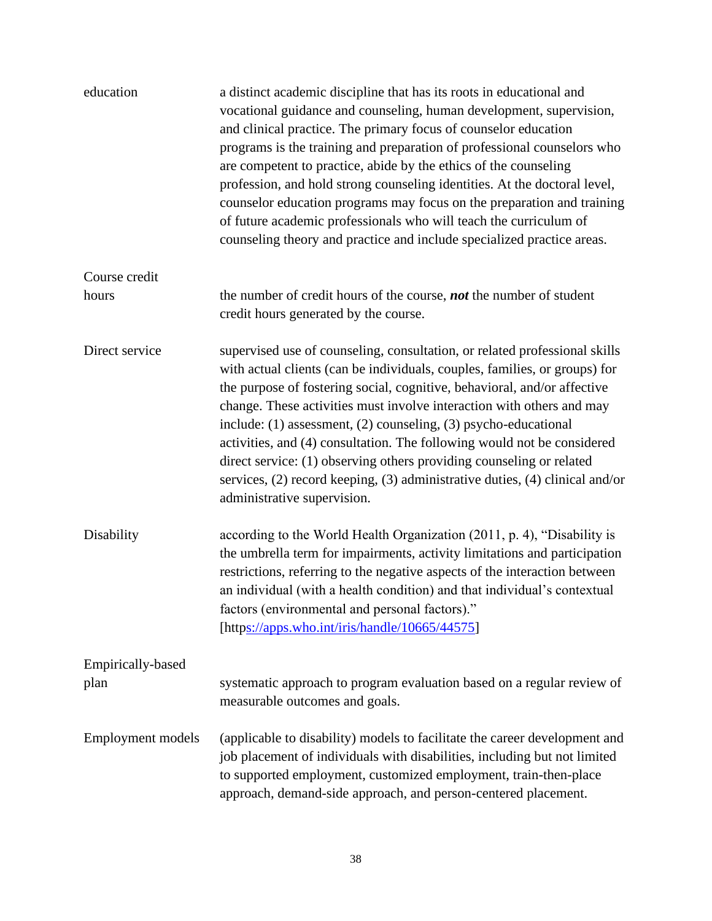| education                        | a distinct academic discipline that has its roots in educational and<br>vocational guidance and counseling, human development, supervision,<br>and clinical practice. The primary focus of counselor education<br>programs is the training and preparation of professional counselors who<br>are competent to practice, abide by the ethics of the counseling<br>profession, and hold strong counseling identities. At the doctoral level,<br>counselor education programs may focus on the preparation and training<br>of future academic professionals who will teach the curriculum of<br>counseling theory and practice and include specialized practice areas. |
|----------------------------------|---------------------------------------------------------------------------------------------------------------------------------------------------------------------------------------------------------------------------------------------------------------------------------------------------------------------------------------------------------------------------------------------------------------------------------------------------------------------------------------------------------------------------------------------------------------------------------------------------------------------------------------------------------------------|
| Course credit<br>hours           | the number of credit hours of the course, <b>not</b> the number of student<br>credit hours generated by the course.                                                                                                                                                                                                                                                                                                                                                                                                                                                                                                                                                 |
| Direct service                   | supervised use of counseling, consultation, or related professional skills<br>with actual clients (can be individuals, couples, families, or groups) for<br>the purpose of fostering social, cognitive, behavioral, and/or affective<br>change. These activities must involve interaction with others and may<br>include: (1) assessment, (2) counseling, (3) psycho-educational<br>activities, and (4) consultation. The following would not be considered<br>direct service: (1) observing others providing counseling or related<br>services, (2) record keeping, (3) administrative duties, (4) clinical and/or<br>administrative supervision.                  |
| Disability                       | according to the World Health Organization (2011, p. 4), "Disability is<br>the umbrella term for impairments, activity limitations and participation<br>restrictions, referring to the negative aspects of the interaction between<br>an individual (with a health condition) and that individual's contextual<br>factors (environmental and personal factors)."<br>[http <u>s://apps.who.int/iris/handle/10665/44575</u> ]                                                                                                                                                                                                                                         |
| <b>Empirically-based</b><br>plan | systematic approach to program evaluation based on a regular review of<br>measurable outcomes and goals.                                                                                                                                                                                                                                                                                                                                                                                                                                                                                                                                                            |
| <b>Employment models</b>         | (applicable to disability) models to facilitate the career development and<br>job placement of individuals with disabilities, including but not limited<br>to supported employment, customized employment, train-then-place<br>approach, demand-side approach, and person-centered placement.                                                                                                                                                                                                                                                                                                                                                                       |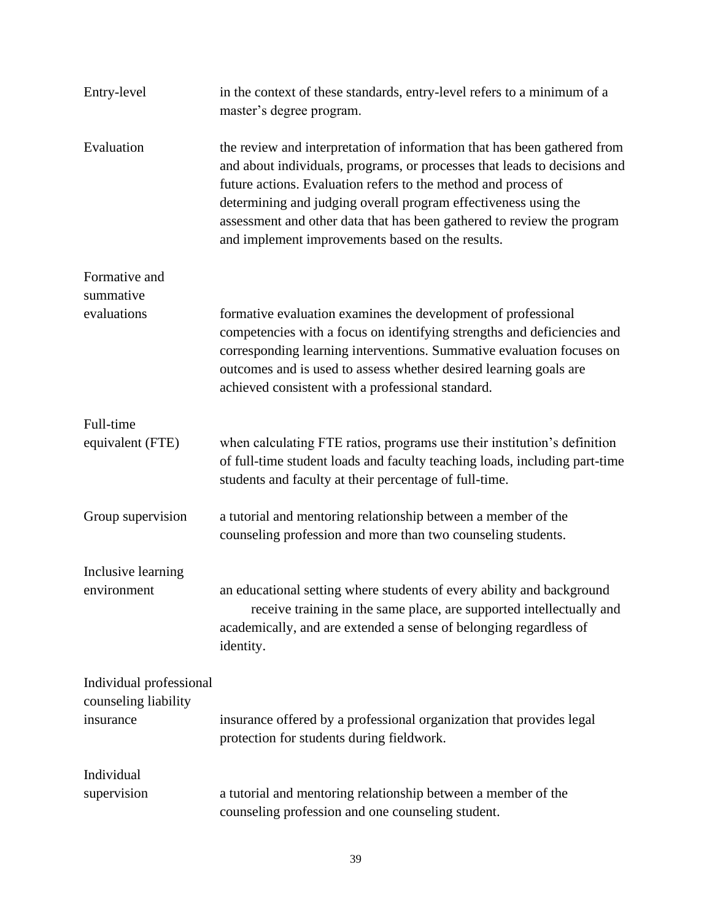| Entry-level                | in the context of these standards, entry-level refers to a minimum of a<br>master's degree program.                                                                                                                                                                                                                                                                                                                      |
|----------------------------|--------------------------------------------------------------------------------------------------------------------------------------------------------------------------------------------------------------------------------------------------------------------------------------------------------------------------------------------------------------------------------------------------------------------------|
| Evaluation                 | the review and interpretation of information that has been gathered from<br>and about individuals, programs, or processes that leads to decisions and<br>future actions. Evaluation refers to the method and process of<br>determining and judging overall program effectiveness using the<br>assessment and other data that has been gathered to review the program<br>and implement improvements based on the results. |
| Formative and<br>summative |                                                                                                                                                                                                                                                                                                                                                                                                                          |
| evaluations                | formative evaluation examines the development of professional<br>competencies with a focus on identifying strengths and deficiencies and<br>corresponding learning interventions. Summative evaluation focuses on<br>outcomes and is used to assess whether desired learning goals are<br>achieved consistent with a professional standard.                                                                              |
| Full-time                  |                                                                                                                                                                                                                                                                                                                                                                                                                          |
| equivalent (FTE)           | when calculating FTE ratios, programs use their institution's definition<br>of full-time student loads and faculty teaching loads, including part-time<br>students and faculty at their percentage of full-time.                                                                                                                                                                                                         |
| Group supervision          | a tutorial and mentoring relationship between a member of the<br>counseling profession and more than two counseling students.                                                                                                                                                                                                                                                                                            |
| Inclusive learning         |                                                                                                                                                                                                                                                                                                                                                                                                                          |
| environment                | an educational setting where students of every ability and background<br>receive training in the same place, are supported intellectually and<br>academically, and are extended a sense of belonging regardless of<br>identity.                                                                                                                                                                                          |
| Individual professional    |                                                                                                                                                                                                                                                                                                                                                                                                                          |
| counseling liability       |                                                                                                                                                                                                                                                                                                                                                                                                                          |
| insurance                  | insurance offered by a professional organization that provides legal<br>protection for students during fieldwork.                                                                                                                                                                                                                                                                                                        |
| Individual                 |                                                                                                                                                                                                                                                                                                                                                                                                                          |
| supervision                | a tutorial and mentoring relationship between a member of the<br>counseling profession and one counseling student.                                                                                                                                                                                                                                                                                                       |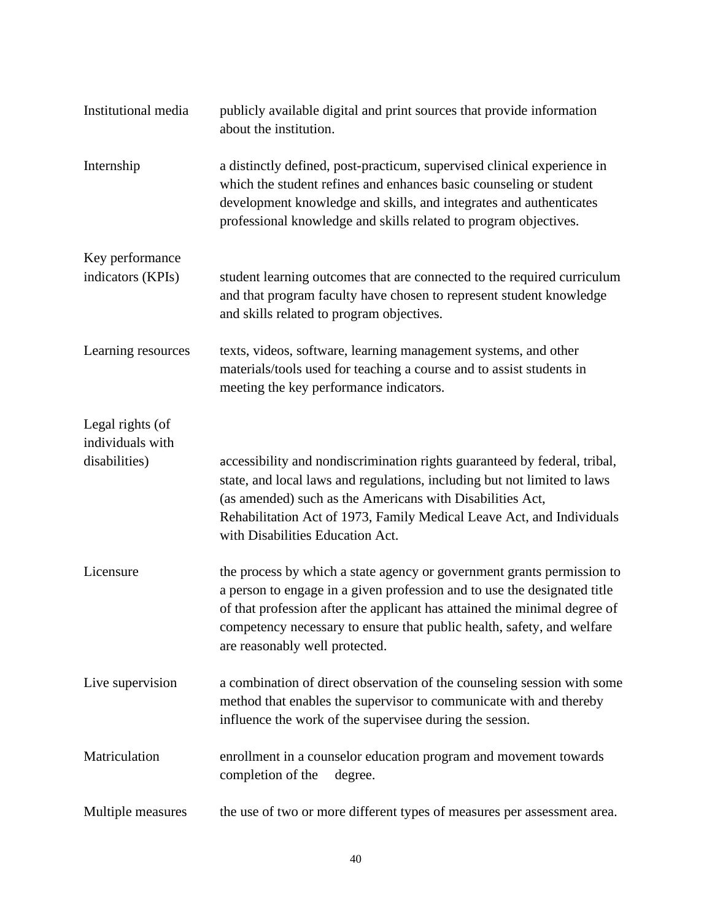| Institutional media                  | publicly available digital and print sources that provide information<br>about the institution.                                                                                                                                                                                                                                             |
|--------------------------------------|---------------------------------------------------------------------------------------------------------------------------------------------------------------------------------------------------------------------------------------------------------------------------------------------------------------------------------------------|
| Internship                           | a distinctly defined, post-practicum, supervised clinical experience in<br>which the student refines and enhances basic counseling or student<br>development knowledge and skills, and integrates and authenticates<br>professional knowledge and skills related to program objectives.                                                     |
| Key performance<br>indicators (KPIs) | student learning outcomes that are connected to the required curriculum<br>and that program faculty have chosen to represent student knowledge<br>and skills related to program objectives.                                                                                                                                                 |
| Learning resources                   | texts, videos, software, learning management systems, and other<br>materials/tools used for teaching a course and to assist students in<br>meeting the key performance indicators.                                                                                                                                                          |
| Legal rights (of<br>individuals with |                                                                                                                                                                                                                                                                                                                                             |
| disabilities)                        | accessibility and nondiscrimination rights guaranteed by federal, tribal,<br>state, and local laws and regulations, including but not limited to laws<br>(as amended) such as the Americans with Disabilities Act,<br>Rehabilitation Act of 1973, Family Medical Leave Act, and Individuals<br>with Disabilities Education Act.             |
| Licensure                            | the process by which a state agency or government grants permission to<br>a person to engage in a given profession and to use the designated title<br>of that profession after the applicant has attained the minimal degree of<br>competency necessary to ensure that public health, safety, and welfare<br>are reasonably well protected. |
| Live supervision                     | a combination of direct observation of the counseling session with some<br>method that enables the supervisor to communicate with and thereby<br>influence the work of the supervisee during the session.                                                                                                                                   |
| Matriculation                        | enrollment in a counselor education program and movement towards<br>completion of the<br>degree.                                                                                                                                                                                                                                            |
| Multiple measures                    | the use of two or more different types of measures per assessment area.                                                                                                                                                                                                                                                                     |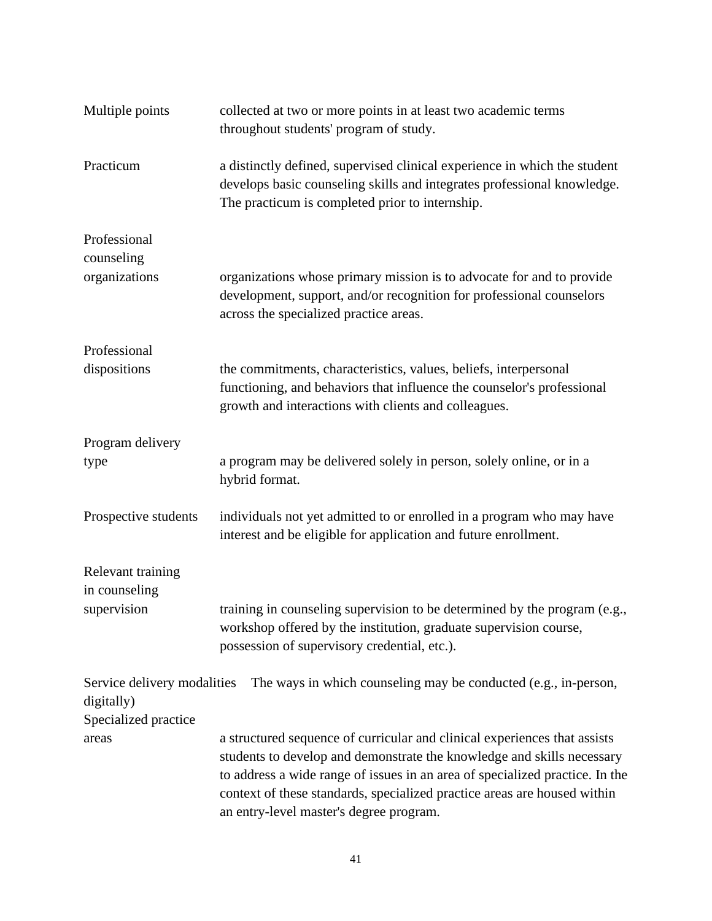| Multiple points                           | collected at two or more points in at least two academic terms<br>throughout students' program of study.                                                                                                                                                                                                                                                   |
|-------------------------------------------|------------------------------------------------------------------------------------------------------------------------------------------------------------------------------------------------------------------------------------------------------------------------------------------------------------------------------------------------------------|
| Practicum                                 | a distinctly defined, supervised clinical experience in which the student<br>develops basic counseling skills and integrates professional knowledge.<br>The practicum is completed prior to internship.                                                                                                                                                    |
| Professional<br>counseling                |                                                                                                                                                                                                                                                                                                                                                            |
| organizations                             | organizations whose primary mission is to advocate for and to provide<br>development, support, and/or recognition for professional counselors<br>across the specialized practice areas.                                                                                                                                                                    |
| Professional                              |                                                                                                                                                                                                                                                                                                                                                            |
| dispositions                              | the commitments, characteristics, values, beliefs, interpersonal<br>functioning, and behaviors that influence the counselor's professional<br>growth and interactions with clients and colleagues.                                                                                                                                                         |
| Program delivery                          |                                                                                                                                                                                                                                                                                                                                                            |
| type                                      | a program may be delivered solely in person, solely online, or in a<br>hybrid format.                                                                                                                                                                                                                                                                      |
| Prospective students                      | individuals not yet admitted to or enrolled in a program who may have<br>interest and be eligible for application and future enrollment.                                                                                                                                                                                                                   |
| Relevant training<br>in counseling        |                                                                                                                                                                                                                                                                                                                                                            |
| supervision                               | training in counseling supervision to be determined by the program (e.g.,<br>workshop offered by the institution, graduate supervision course,<br>possession of supervisory credential, etc.).                                                                                                                                                             |
| Service delivery modalities<br>digitally) | The ways in which counseling may be conducted (e.g., in-person,                                                                                                                                                                                                                                                                                            |
| Specialized practice<br>areas             | a structured sequence of curricular and clinical experiences that assists<br>students to develop and demonstrate the knowledge and skills necessary<br>to address a wide range of issues in an area of specialized practice. In the<br>context of these standards, specialized practice areas are housed within<br>an entry-level master's degree program. |